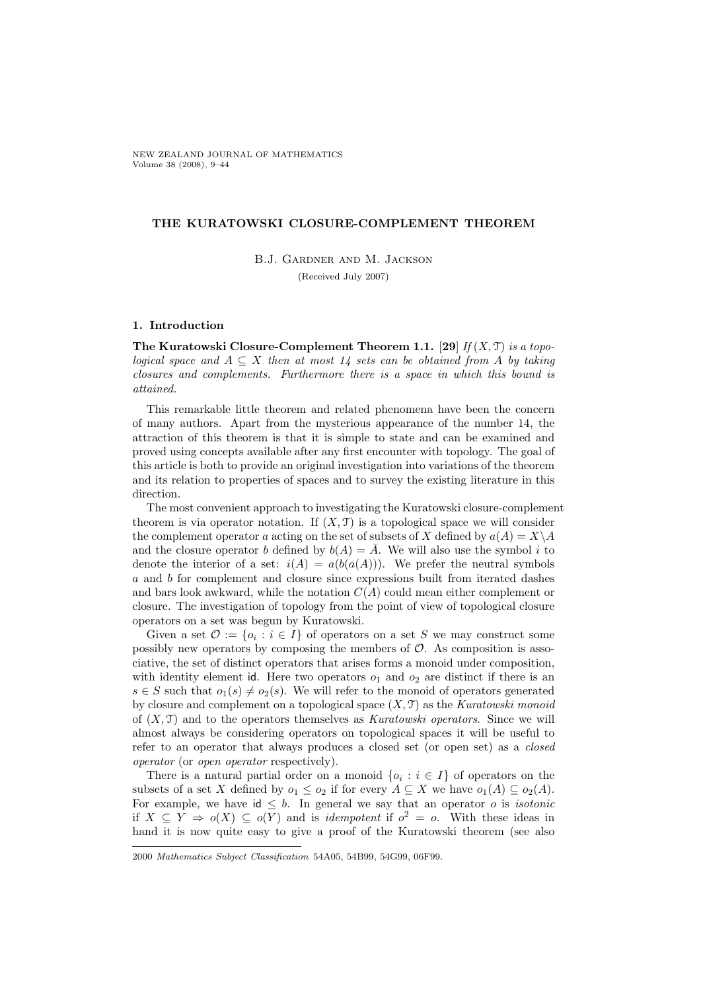NEW ZEALAND JOURNAL OF MATHEMATICS Volume 38 (2008), 9–44

## THE KURATOWSKI CLOSURE-COMPLEMENT THEOREM

B.J. Gardner and M. Jackson (Received July 2007)

### 1. Introduction

The Kuratowski Closure-Complement Theorem 1.1. [29] If  $(X, \mathcal{T})$  is a topological space and  $A \subseteq X$  then at most 14 sets can be obtained from A by taking closures and complements. Furthermore there is a space in which this bound is attained.

This remarkable little theorem and related phenomena have been the concern of many authors. Apart from the mysterious appearance of the number 14, the attraction of this theorem is that it is simple to state and can be examined and proved using concepts available after any first encounter with topology. The goal of this article is both to provide an original investigation into variations of the theorem and its relation to properties of spaces and to survey the existing literature in this direction.

The most convenient approach to investigating the Kuratowski closure-complement theorem is via operator notation. If  $(X, \mathcal{T})$  is a topological space we will consider the complement operator a acting on the set of subsets of X defined by  $a(A) = X\backslash A$ and the closure operator b defined by  $b(A) = \overline{A}$ . We will also use the symbol i to denote the interior of a set:  $i(A) = a(b(a(A)))$ . We prefer the neutral symbols a and b for complement and closure since expressions built from iterated dashes and bars look awkward, while the notation  $C(A)$  could mean either complement or closure. The investigation of topology from the point of view of topological closure operators on a set was begun by Kuratowski.

Given a set  $\mathcal{O} := \{o_i : i \in I\}$  of operators on a set S we may construct some possibly new operators by composing the members of  $\mathcal{O}$ . As composition is associative, the set of distinct operators that arises forms a monoid under composition, with identity element id. Here two operators  $o_1$  and  $o_2$  are distinct if there is an  $s \in S$  such that  $o_1(s) \neq o_2(s)$ . We will refer to the monoid of operators generated by closure and complement on a topological space  $(X, \mathcal{T})$  as the Kuratowski monoid of  $(X, \mathcal{T})$  and to the operators themselves as Kuratowski operators. Since we will almost always be considering operators on topological spaces it will be useful to refer to an operator that always produces a closed set (or open set) as a closed operator (or open operator respectively).

There is a natural partial order on a monoid  $\{o_i : i \in I\}$  of operators on the subsets of a set X defined by  $o_1 \leq o_2$  if for every  $A \subseteq X$  we have  $o_1(A) \subseteq o_2(A)$ . For example, we have  $id \leq b$ . In general we say that an operator o is *isotonic* if  $X \subseteq Y \implies o(X) \subseteq o(Y)$  and is *idempotent* if  $o^2 = o$ . With these ideas in hand it is now quite easy to give a proof of the Kuratowski theorem (see also

<sup>2000</sup> Mathematics Subject Classification 54A05, 54B99, 54G99, 06F99.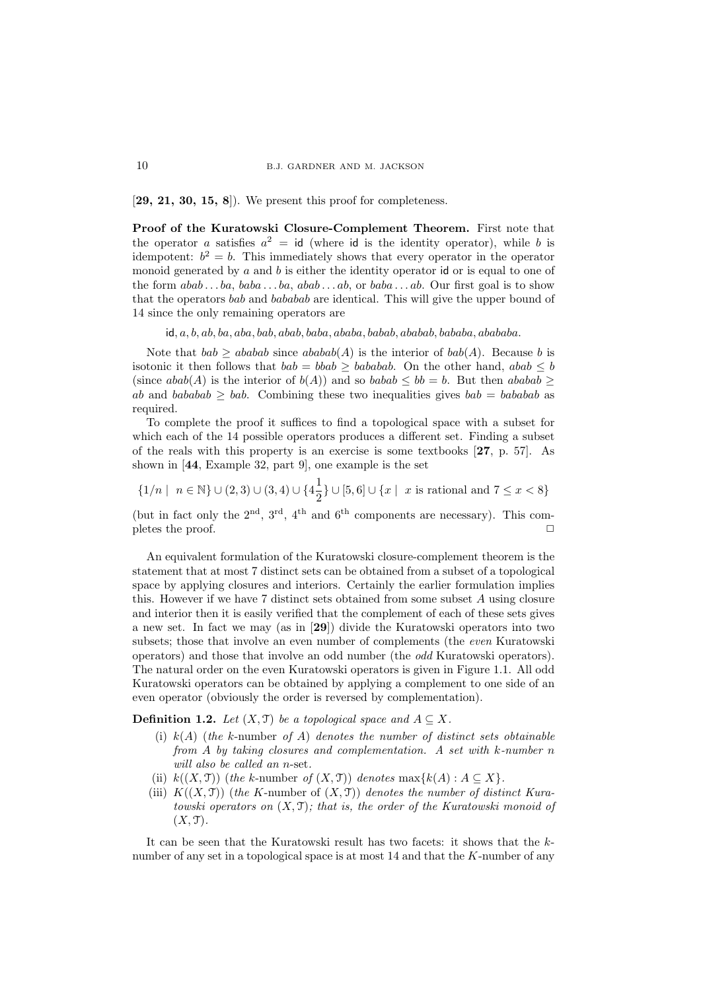$[29, 21, 30, 15, 8]$ . We present this proof for completeness.

Proof of the Kuratowski Closure-Complement Theorem. First note that the operator a satisfies  $a^2 = id$  (where id is the identity operator), while b is idempotent:  $b^2 = b$ . This immediately shows that every operator in the operator monoid generated by  $a$  and  $b$  is either the identity operator id or is equal to one of the form  $abab \dots ba$ ,  $baba \dots ba$ ,  $abab \dots ab$ , or  $baba \dots ab$ . Our first goal is to show that the operators bab and bababab are identical. This will give the upper bound of 14 since the only remaining operators are

 $id, a, b, ab, ba, aba, bab, abab, baba, ababa, babab, ababab, bababab, abababab,$ 

Note that  $bab \geq ababab$  since  $ababab(A)$  is the interior of  $bab(A)$ . Because b is isotonic it then follows that  $bab = bab \ge bababab$ . On the other hand,  $abab \le b$ (since  $abab(A)$  is the interior of  $b(A)$ ) and so  $babab \leq bb = b$ . But then  $ababab > b$ ab and bababab  $>$  bab. Combining these two inequalities gives bab = bababab as required.

To complete the proof it suffices to find a topological space with a subset for which each of the 14 possible operators produces a different set. Finding a subset of the reals with this property is an exercise is some textbooks [27, p. 57]. As shown in [44, Example 32, part 9], one example is the set

 $\{1/n \mid n \in \mathbb{N}\} \cup (2,3) \cup (3,4) \cup \{4\frac{1}{2}\}$  $\frac{1}{2}$ } ∪ [5, 6] ∪ { $x \mid x$  is rational and  $7 \leq x < 8$ }

(but in fact only the  $2<sup>nd</sup>$ ,  $3<sup>rd</sup>$ ,  $4<sup>th</sup>$  and  $6<sup>th</sup>$  components are necessary). This completes the proof.  $\Box$ 

An equivalent formulation of the Kuratowski closure-complement theorem is the statement that at most 7 distinct sets can be obtained from a subset of a topological space by applying closures and interiors. Certainly the earlier formulation implies this. However if we have 7 distinct sets obtained from some subset A using closure and interior then it is easily verified that the complement of each of these sets gives a new set. In fact we may (as in [29]) divide the Kuratowski operators into two subsets; those that involve an even number of complements (the even Kuratowski operators) and those that involve an odd number (the odd Kuratowski operators). The natural order on the even Kuratowski operators is given in Figure 1.1. All odd Kuratowski operators can be obtained by applying a complement to one side of an even operator (obviously the order is reversed by complementation).

**Definition 1.2.** Let  $(X, \mathcal{T})$  be a topological space and  $A \subseteq X$ .

- (i)  $k(A)$  (the k-number of A) denotes the number of distinct sets obtainable from A by taking closures and complementation. A set with k-number n will also be called an n-set.
- (ii)  $k((X, \mathcal{T}))$  (the k-number of  $(X, \mathcal{T}))$  denotes  $\max\{k(A) : A \subseteq X\}.$
- (iii)  $K((X, \mathcal{T}))$  (the K-number of  $(X, \mathcal{T}))$  denotes the number of distinct Kuratowski operators on  $(X, \mathcal{T})$ ; that is, the order of the Kuratowski monoid of  $(X, \mathfrak{T}).$

It can be seen that the Kuratowski result has two facets: it shows that the knumber of any set in a topological space is at most  $14$  and that the K-number of any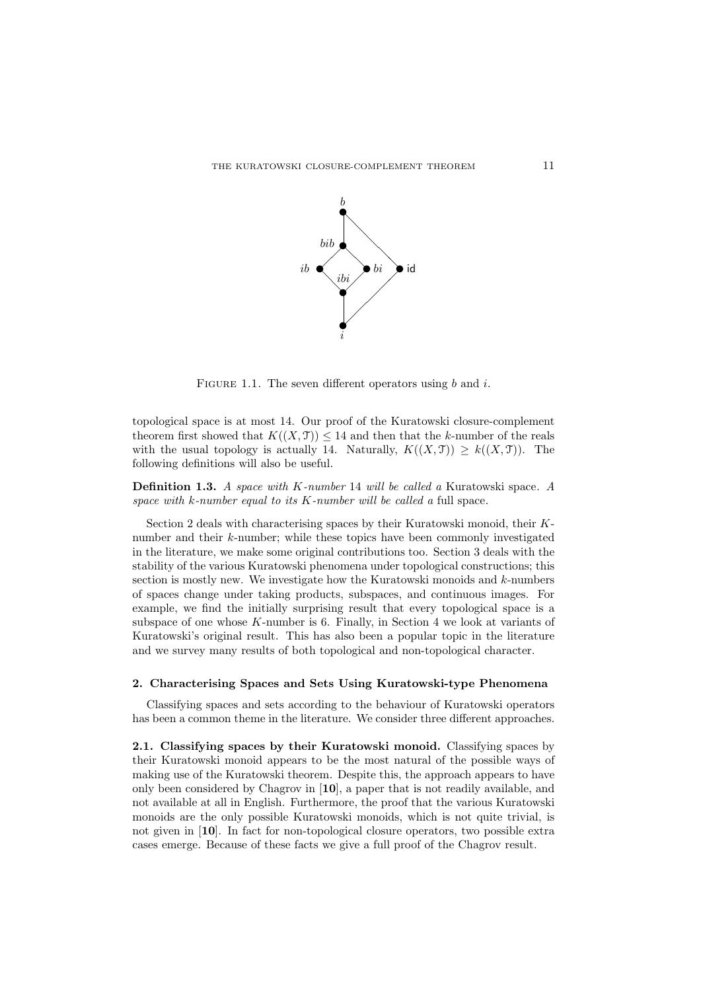

FIGURE 1.1. The seven different operators using  $b$  and  $i$ .

topological space is at most 14. Our proof of the Kuratowski closure-complement theorem first showed that  $K((X, \mathcal{T})) \leq 14$  and then that the k-number of the reals with the usual topology is actually 14. Naturally,  $K((X, \mathcal{T})) \geq k((X, \mathcal{T}))$ . The following definitions will also be useful.

Definition 1.3. A space with K-number 14 will be called a Kuratowski space. A space with  $k$ -number equal to its  $K$ -number will be called a full space.

Section 2 deals with characterising spaces by their Kuratowski monoid, their Knumber and their k-number; while these topics have been commonly investigated in the literature, we make some original contributions too. Section 3 deals with the stability of the various Kuratowski phenomena under topological constructions; this section is mostly new. We investigate how the Kuratowski monoids and  $k$ -numbers of spaces change under taking products, subspaces, and continuous images. For example, we find the initially surprising result that every topological space is a subspace of one whose K-number is 6. Finally, in Section 4 we look at variants of Kuratowski's original result. This has also been a popular topic in the literature and we survey many results of both topological and non-topological character.

### 2. Characterising Spaces and Sets Using Kuratowski-type Phenomena

Classifying spaces and sets according to the behaviour of Kuratowski operators has been a common theme in the literature. We consider three different approaches.

2.1. Classifying spaces by their Kuratowski monoid. Classifying spaces by their Kuratowski monoid appears to be the most natural of the possible ways of making use of the Kuratowski theorem. Despite this, the approach appears to have only been considered by Chagrov in [10], a paper that is not readily available, and not available at all in English. Furthermore, the proof that the various Kuratowski monoids are the only possible Kuratowski monoids, which is not quite trivial, is not given in [10]. In fact for non-topological closure operators, two possible extra cases emerge. Because of these facts we give a full proof of the Chagrov result.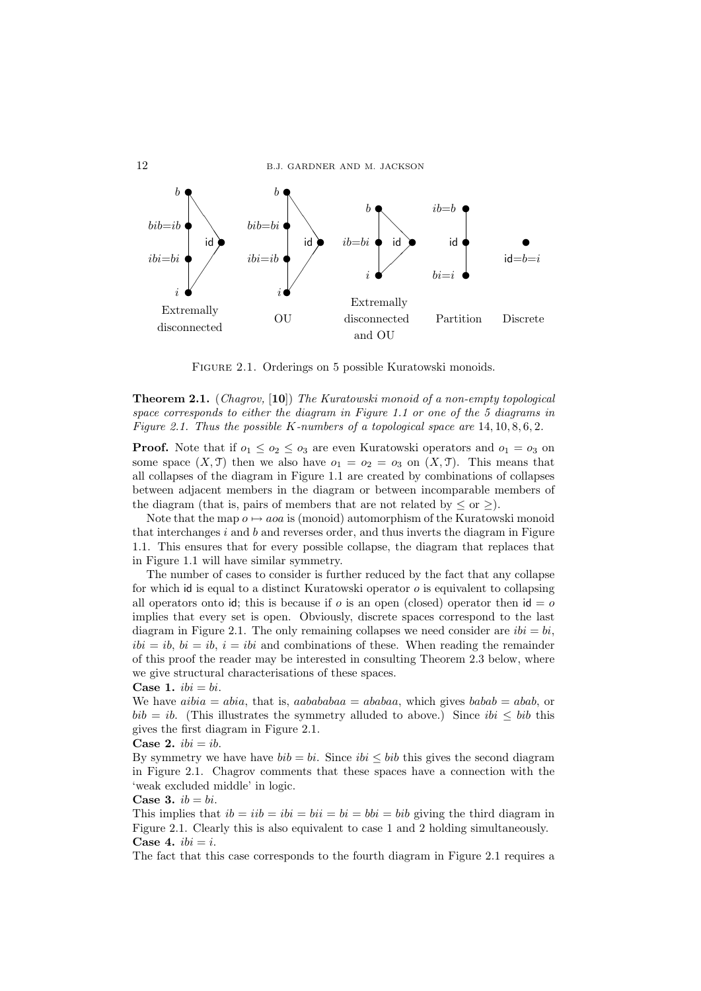

Figure 2.1. Orderings on 5 possible Kuratowski monoids.

Theorem 2.1. (Chagrov, [10]) The Kuratowski monoid of a non-empty topological space corresponds to either the diagram in Figure 1.1 or one of the 5 diagrams in Figure 2.1. Thus the possible K-numbers of a topological space are  $14, 10, 8, 6, 2$ .

**Proof.** Note that if  $o_1 \leq o_2 \leq o_3$  are even Kuratowski operators and  $o_1 = o_3$  on some space  $(X, \mathcal{T})$  then we also have  $o_1 = o_2 = o_3$  on  $(X, \mathcal{T})$ . This means that all collapses of the diagram in Figure 1.1 are created by combinations of collapses between adjacent members in the diagram or between incomparable members of the diagram (that is, pairs of members that are not related by  $\leq$  or  $\geq$ ).

Note that the map  $o \mapsto aoa$  is (monoid) automorphism of the Kuratowski monoid that interchanges  $i$  and  $b$  and reverses order, and thus inverts the diagram in Figure 1.1. This ensures that for every possible collapse, the diagram that replaces that in Figure 1.1 will have similar symmetry.

The number of cases to consider is further reduced by the fact that any collapse for which id is equal to a distinct Kuratowski operator o is equivalent to collapsing all operators onto id; this is because if o is an open (closed) operator then  $id = o$ implies that every set is open. Obviously, discrete spaces correspond to the last diagram in Figure 2.1. The only remaining collapses we need consider are  $ibi = bi$ ,  $ibi = ib$ ,  $bi = ib$ ,  $i = ibi$  and combinations of these. When reading the remainder of this proof the reader may be interested in consulting Theorem 2.3 below, where we give structural characterisations of these spaces.

Case 1.  $ibi = bi$ .

We have  $aibia = abia$ , that is,  $aabababa = ababaa$ , which gives  $babab = abab$ , or  $bib = ib$ . (This illustrates the symmetry alluded to above.) Since  $ibi < bib$  this gives the first diagram in Figure 2.1.

Case 2.  $ibi = ib$ .

By symmetry we have have  $bib = bi$ . Since  $ibi \leq bib$  this gives the second diagram in Figure 2.1. Chagrov comments that these spaces have a connection with the 'weak excluded middle' in logic.

Case 3.  $ib = bi$ .

This implies that  $ib = iib = bi = bi = bi = bi = bi$  giving the third diagram in Figure 2.1. Clearly this is also equivalent to case 1 and 2 holding simultaneously. Case 4.  $ibi = i$ .

The fact that this case corresponds to the fourth diagram in Figure 2.1 requires a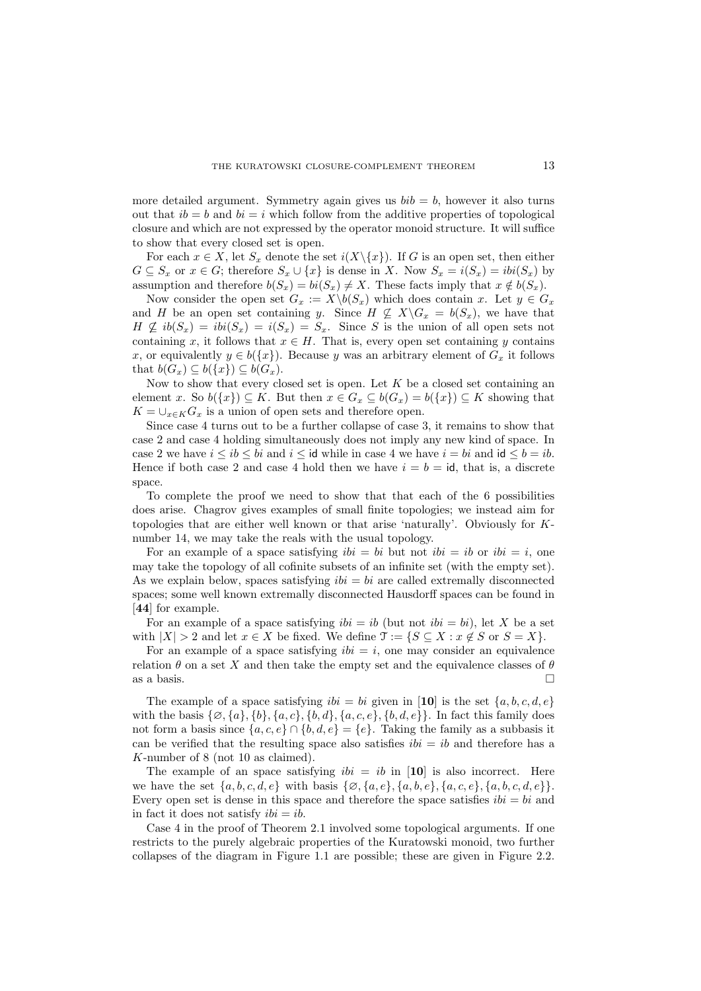more detailed argument. Symmetry again gives us  $bib = b$ , however it also turns out that  $ib = b$  and  $bi = i$  which follow from the additive properties of topological closure and which are not expressed by the operator monoid structure. It will suffice to show that every closed set is open.

For each  $x \in X$ , let  $S_x$  denote the set  $i(X \setminus \{x\})$ . If G is an open set, then either  $G \subseteq S_x$  or  $x \in G$ ; therefore  $S_x \cup \{x\}$  is dense in X. Now  $S_x = i(S_x) = ibi(S_x)$  by assumption and therefore  $b(S_x) = bi(S_x) \neq X$ . These facts imply that  $x \notin b(S_x)$ .

Now consider the open set  $G_x := X \backslash b(S_x)$  which does contain x. Let  $y \in G_x$ and H be an open set containing y. Since  $H \nsubseteq X\backslash G_x = b(S_x)$ , we have that  $H \nsubseteq ib(S_x) = ibi(S_x) = i(S_x) = S_x$ . Since S is the union of all open sets not containing x, it follows that  $x \in H$ . That is, every open set containing y contains x, or equivalently  $y \in b({x})$ . Because y was an arbitrary element of  $G_x$  it follows that  $b(G_x) \subseteq b({x}) \subseteq b(G_x)$ .

Now to show that every closed set is open. Let  $K$  be a closed set containing an element x. So  $b({x}) \subseteq K$ . But then  $x \in G_x \subseteq b(G_x) = b({x}) \subseteq K$  showing that  $K = \bigcup_{x \in K} G_x$  is a union of open sets and therefore open.

Since case 4 turns out to be a further collapse of case 3, it remains to show that case 2 and case 4 holding simultaneously does not imply any new kind of space. In case 2 we have  $i \leq ib \leq bi$  and  $i \leq id$  while in case 4 we have  $i = bi$  and  $id \leq b = ib$ . Hence if both case 2 and case 4 hold then we have  $i = b = id$ , that is, a discrete space.

To complete the proof we need to show that that each of the 6 possibilities does arise. Chagrov gives examples of small finite topologies; we instead aim for topologies that are either well known or that arise 'naturally'. Obviously for Knumber 14, we may take the reals with the usual topology.

For an example of a space satisfying  $ibi = bi$  but not  $ibi = ib$  or  $ibi = i$ , one may take the topology of all cofinite subsets of an infinite set (with the empty set). As we explain below, spaces satisfying  $ibi = bi$  are called extremally disconnected spaces; some well known extremally disconnected Hausdorff spaces can be found in [44] for example.

For an example of a space satisfying  $ibi = ib$  (but not  $ibi = bi$ ), let X be a set with  $|X| > 2$  and let  $x \in X$  be fixed. We define  $\mathfrak{T} := \{ S \subseteq X : x \notin S \text{ or } S = X \}.$ 

For an example of a space satisfying  $ibi = i$ , one may consider an equivalence relation  $\theta$  on a set X and then take the empty set and the equivalence classes of  $\theta$ as a basis.  $\Box$ 

The example of a space satisfying  $ibi = bi$  given in [10] is the set  $\{a, b, c, d, e\}$ with the basis  $\{\emptyset, \{a\}, \{b\}, \{a, c\}, \{b, d\}, \{a, c, e\}, \{b, d, e\}\}\.$  In fact this family does not form a basis since  $\{a, c, e\} \cap \{b, d, e\} = \{e\}$ . Taking the family as a subbasis it can be verified that the resulting space also satisfies  $ibi = ib$  and therefore has a K-number of 8 (not 10 as claimed).

The example of an space satisfying  $ibi = ib$  in [10] is also incorrect. Here we have the set  $\{a, b, c, d, e\}$  with basis  $\{\emptyset, \{a, e\}, \{a, b, e\}, \{a, c, e\}, \{a, b, c, d, e\}\}.$ Every open set is dense in this space and therefore the space satisfies  $ibi = bi$  and in fact it does not satisfy  $ibi = ib$ .

Case 4 in the proof of Theorem 2.1 involved some topological arguments. If one restricts to the purely algebraic properties of the Kuratowski monoid, two further collapses of the diagram in Figure 1.1 are possible; these are given in Figure 2.2.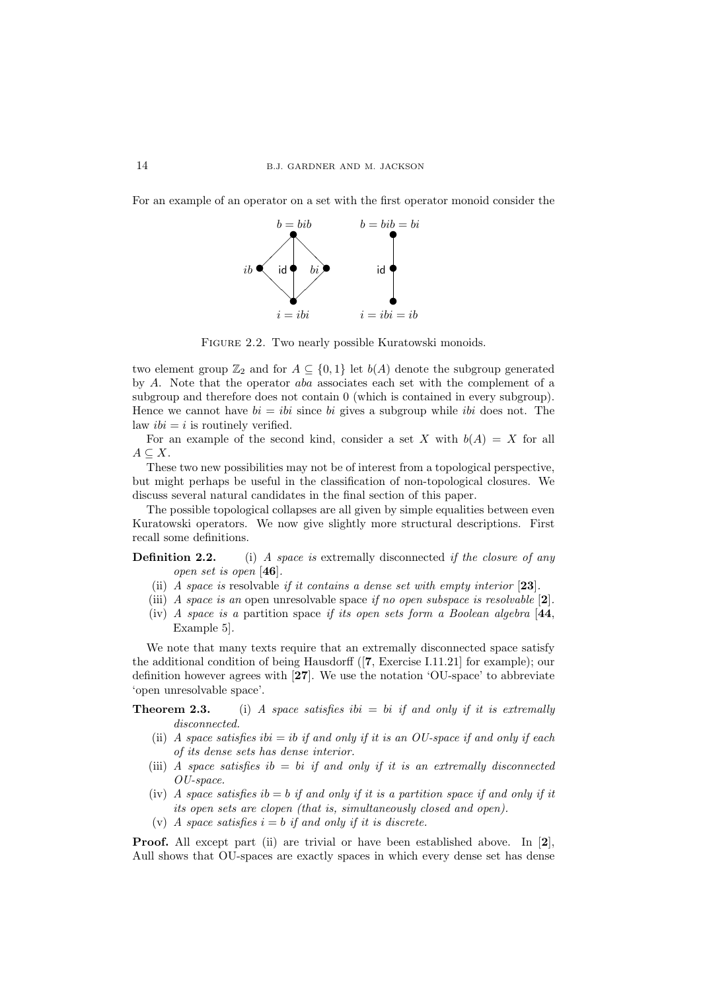For an example of an operator on a set with the first operator monoid consider the



FIGURE 2.2. Two nearly possible Kuratowski monoids.

two element group  $\mathbb{Z}_2$  and for  $A \subseteq \{0,1\}$  let  $b(A)$  denote the subgroup generated by A. Note that the operator aba associates each set with the complement of a subgroup and therefore does not contain 0 (which is contained in every subgroup). Hence we cannot have  $bi = ibi$  since bi gives a subgroup while ibi does not. The law  $ibi = i$  is routinely verified.

For an example of the second kind, consider a set X with  $b(A) = X$  for all  $A \subseteq X$ .

These two new possibilities may not be of interest from a topological perspective, but might perhaps be useful in the classification of non-topological closures. We discuss several natural candidates in the final section of this paper.

The possible topological collapses are all given by simple equalities between even Kuratowski operators. We now give slightly more structural descriptions. First recall some definitions.

**Definition 2.2.** (i) A space is extremally disconnected if the closure of any open set is open [46].

- (ii) A space is resolvable if it contains a dense set with empty interior [23].
- (iii) A space is an open unresolvable space if no open subspace is resolvable  $[2]$ .
- (iv) A space is a partition space if its open sets form a Boolean algebra  $[44]$ , Example 5].

We note that many texts require that an extremally disconnected space satisfy the additional condition of being Hausdorff ([7, Exercise I.11.21] for example); our definition however agrees with [27]. We use the notation 'OU-space' to abbreviate 'open unresolvable space'.

**Theorem 2.3.** (i) A space satisfies ibi  $=$  bi if and only if it is extremally disconnected.

- (ii) A space satisfies ibi  $=$  ibif and only if it is an OU-space if and only if each of its dense sets has dense interior.
- (iii) A space satisfies  $ib = bi$  if and only if it is an extremally disconnected OU-space.
- (iv) A space satisfies  $ib = b$  if and only if it is a partition space if and only if it its open sets are clopen (that is, simultaneously closed and open).
- (v) A space satisfies  $i = b$  if and only if it is discrete.

Proof. All except part (ii) are trivial or have been established above. In [2], Aull shows that OU-spaces are exactly spaces in which every dense set has dense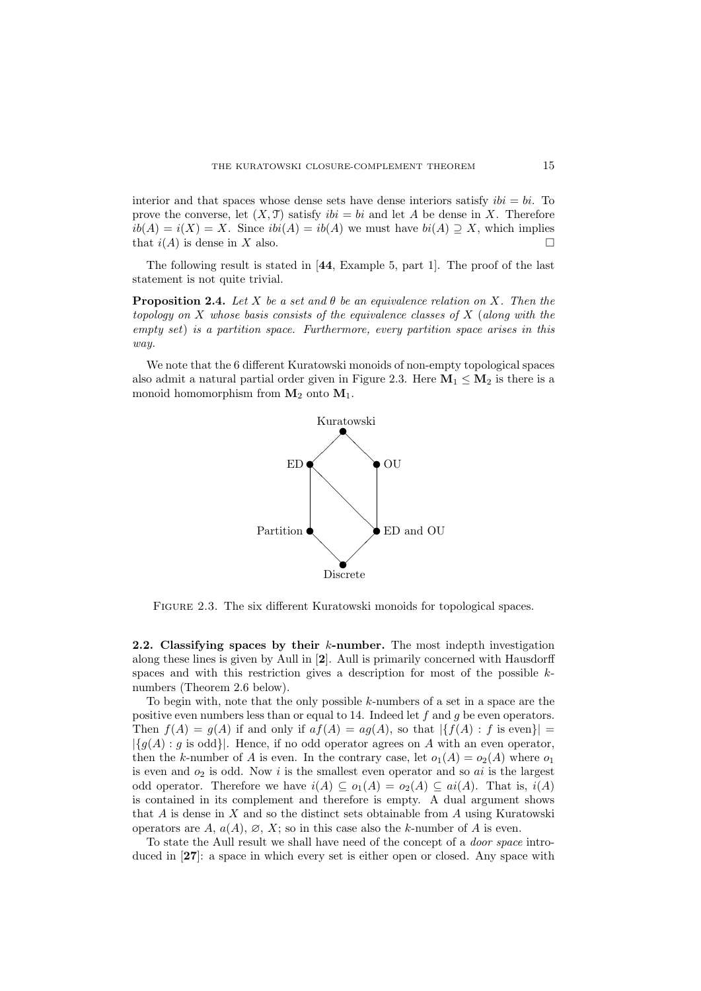interior and that spaces whose dense sets have dense interiors satisfy  $ibi = bi$ . To prove the converse, let  $(X, \mathcal{T})$  satisfy  $ibi = bi$  and let A be dense in X. Therefore  $ib(A) = i(X) = X$ . Since  $ibi(A) = ib(A)$  we must have  $bi(A) \supseteq X$ , which implies that  $i(A)$  is dense in X also.

The following result is stated in [44, Example 5, part 1]. The proof of the last statement is not quite trivial.

**Proposition 2.4.** Let X be a set and  $\theta$  be an equivalence relation on X. Then the topology on  $X$  whose basis consists of the equivalence classes of  $X$  (along with the empty set) is a partition space. Furthermore, every partition space arises in this way.

We note that the 6 different Kuratowski monoids of non-empty topological spaces also admit a natural partial order given in Figure 2.3. Here  $M_1 \leq M_2$  is there is a monoid homomorphism from  $M_2$  onto  $M_1$ .



FIGURE 2.3. The six different Kuratowski monoids for topological spaces.

2.2. Classifying spaces by their  $k$ -number. The most indepth investigation along these lines is given by Aull in [2]. Aull is primarily concerned with Hausdorff spaces and with this restriction gives a description for most of the possible knumbers (Theorem 2.6 below).

To begin with, note that the only possible  $k$ -numbers of a set in a space are the positive even numbers less than or equal to 14. Indeed let  $f$  and  $g$  be even operators. Then  $f(A) = g(A)$  if and only if  $af(A) = ag(A)$ , so that  $|f(A) : f$  is even  $| =$  $|{g(A) : g \text{ is odd}}|$ . Hence, if no odd operator agrees on A with an even operator, then the k-number of A is even. In the contrary case, let  $o_1(A) = o_2(A)$  where  $o_1$ is even and  $o_2$  is odd. Now i is the smallest even operator and so  $ai$  is the largest odd operator. Therefore we have  $i(A) \subseteq o_1(A) = o_2(A) \subseteq ai(A)$ . That is,  $i(A)$ is contained in its complement and therefore is empty. A dual argument shows that  $A$  is dense in  $X$  and so the distinct sets obtainable from  $A$  using Kuratowski operators are  $A, a(A), \emptyset, X$ ; so in this case also the k-number of A is even.

To state the Aull result we shall have need of the concept of a *door space* introduced in [27]: a space in which every set is either open or closed. Any space with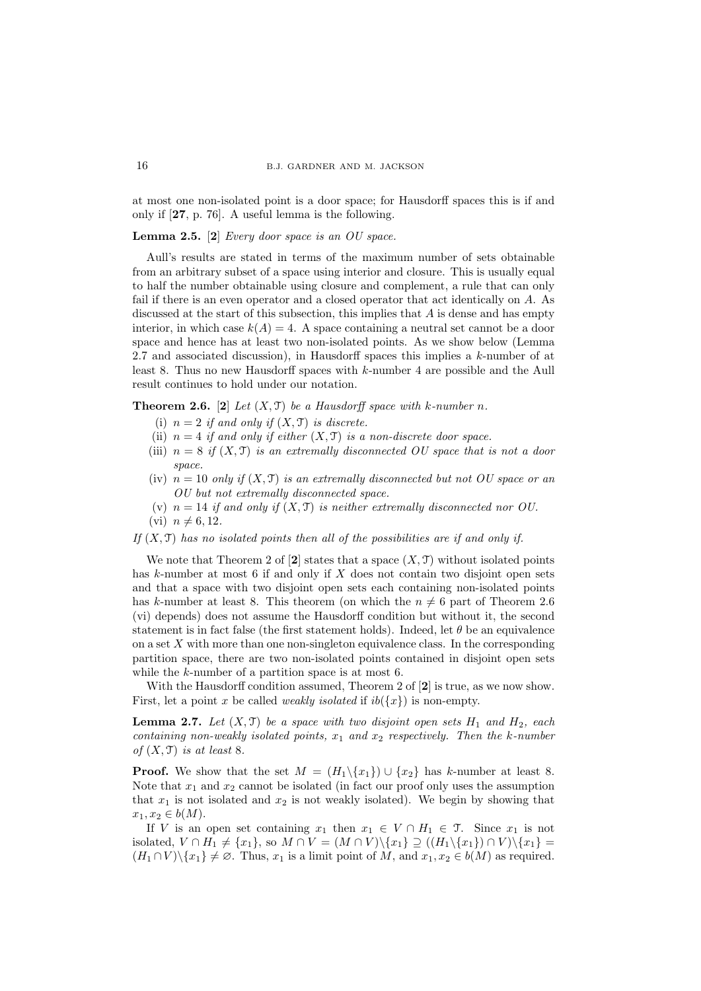at most one non-isolated point is a door space; for Hausdorff spaces this is if and only if [27, p. 76]. A useful lemma is the following.

# **Lemma 2.5.** [2] Every door space is an  $OU$  space.

Aull's results are stated in terms of the maximum number of sets obtainable from an arbitrary subset of a space using interior and closure. This is usually equal to half the number obtainable using closure and complement, a rule that can only fail if there is an even operator and a closed operator that act identically on A. As discussed at the start of this subsection, this implies that  $A$  is dense and has empty interior, in which case  $k(A) = 4$ . A space containing a neutral set cannot be a door space and hence has at least two non-isolated points. As we show below (Lemma 2.7 and associated discussion), in Hausdorff spaces this implies a  $k$ -number of at least 8. Thus no new Hausdorff spaces with k-number 4 are possible and the Aull result continues to hold under our notation.

**Theorem 2.6.** [2] Let  $(X, \mathcal{T})$  be a Hausdorff space with k-number n.

- (i)  $n = 2$  if and only if  $(X, \mathcal{T})$  is discrete.
- (ii)  $n = 4$  if and only if either  $(X, \mathcal{T})$  is a non-discrete door space.
- (iii)  $n = 8$  if  $(X, \mathcal{T})$  is an extremally disconnected OU space that is not a door space.
- (iv)  $n = 10$  only if  $(X, \mathcal{T})$  is an extremally disconnected but not OU space or an OU but not extremally disconnected space.
- (v)  $n = 14$  if and only if  $(X, \mathcal{T})$  is neither extremally disconnected nor OU. (vi)  $n \neq 6, 12$ .

If  $(X, \mathcal{T})$  has no isolated points then all of the possibilities are if and only if.

We note that Theorem 2 of  $[2]$  states that a space  $(X, \mathcal{T})$  without isolated points has k-number at most  $6$  if and only if  $X$  does not contain two disjoint open sets and that a space with two disjoint open sets each containing non-isolated points has k-number at least 8. This theorem (on which the  $n \neq 6$  part of Theorem 2.6 (vi) depends) does not assume the Hausdorff condition but without it, the second statement is in fact false (the first statement holds). Indeed, let  $\theta$  be an equivalence on a set  $X$  with more than one non-singleton equivalence class. In the corresponding partition space, there are two non-isolated points contained in disjoint open sets while the k-number of a partition space is at most 6.

With the Hausdorff condition assumed, Theorem 2 of  $[2]$  is true, as we now show. First, let a point x be called *weakly isolated* if  $ib({x})$  is non-empty.

**Lemma 2.7.** Let  $(X, \mathcal{T})$  be a space with two disjoint open sets  $H_1$  and  $H_2$ , each containing non-weakly isolated points,  $x_1$  and  $x_2$  respectively. Then the k-number of  $(X, \mathcal{T})$  is at least 8.

**Proof.** We show that the set  $M = (H_1 \setminus \{x_1\}) \cup \{x_2\}$  has k-number at least 8. Note that  $x_1$  and  $x_2$  cannot be isolated (in fact our proof only uses the assumption that  $x_1$  is not isolated and  $x_2$  is not weakly isolated). We begin by showing that  $x_1, x_2 \in b(M)$ .

If V is an open set containing  $x_1$  then  $x_1 \in V \cap H_1 \in \mathcal{T}$ . Since  $x_1$  is not isolated,  $V \cap H_1 \neq \{x_1\}$ , so  $M \cap V = (M \cap V) \setminus \{x_1\} \supseteq ((H_1 \setminus \{x_1\}) \cap V) \setminus \{x_1\}$  $(H_1 \cap V) \setminus \{x_1\} \neq \emptyset$ . Thus,  $x_1$  is a limit point of M, and  $x_1, x_2 \in b(M)$  as required.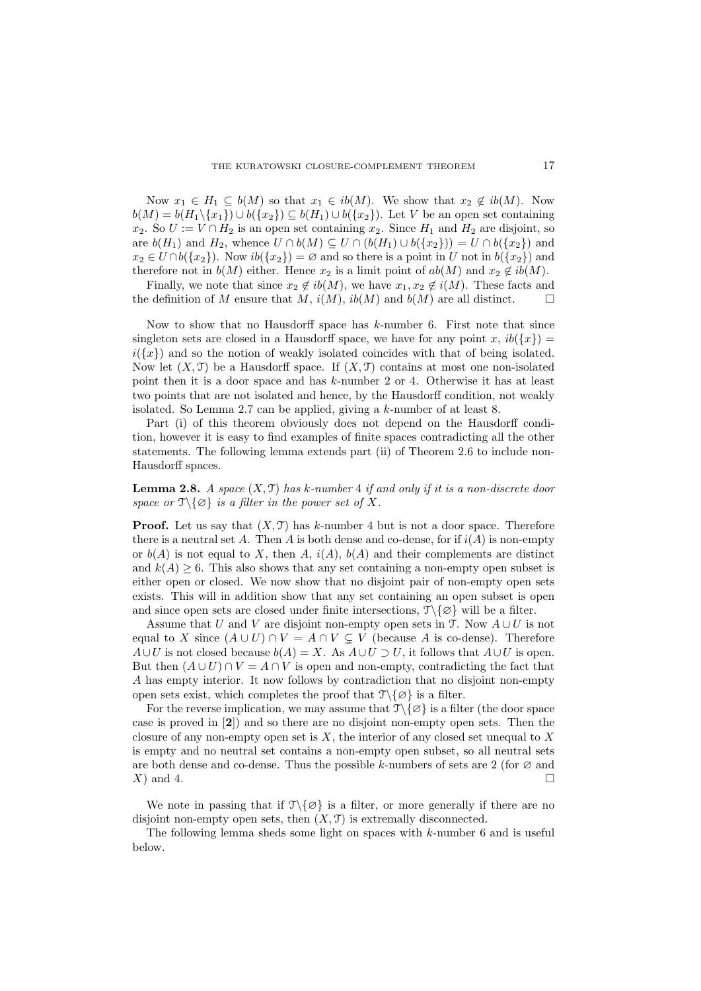Now  $x_1 \in H_1 \subseteq b(M)$  so that  $x_1 \in ib(M)$ . We show that  $x_2 \notin ib(M)$ . Now  $b(M) = b(H_1 \setminus \{x_1\}) \cup b(\{x_2\}) \subseteq b(H_1) \cup b(\{x_2\}).$  Let V be an open set containing  $x_2$ . So  $U := V \cap H_2$  is an open set containing  $x_2$ . Since  $H_1$  and  $H_2$  are disjoint, so are  $b(H_1)$  and  $H_2$ , whence  $U \cap b(M) \subseteq U \cap (b(H_1) \cup b(\lbrace x_2 \rbrace)) = U \cap b(\lbrace x_2 \rbrace)$  and  $x_2 \in U \cap b({x_2})$ . Now  $ib({x_2}) = \emptyset$  and so there is a point in U not in  $b({x_2})$  and therefore not in  $b(M)$  either. Hence  $x_2$  is a limit point of  $ab(M)$  and  $x_2 \notin ib(M)$ .

Finally, we note that since  $x_2 \notin ib(M)$ , we have  $x_1, x_2 \notin i(M)$ . These facts and the definition of M ensure that M,  $i(M)$ ,  $ib(M)$  and  $b(M)$  are all distinct.

Now to show that no Hausdorff space has  $k$ -number 6. First note that since singleton sets are closed in a Hausdorff space, we have for any point x,  $ib({x})$  =  $i({x})$  and so the notion of weakly isolated coincides with that of being isolated. Now let  $(X, \mathcal{T})$  be a Hausdorff space. If  $(X, \mathcal{T})$  contains at most one non-isolated point then it is a door space and has k-number 2 or 4. Otherwise it has at least two points that are not isolated and hence, by the Hausdorff condition, not weakly isolated. So Lemma 2.7 can be applied, giving a k-number of at least 8.

Part (i) of this theorem obviously does not depend on the Hausdorff condition, however it is easy to find examples of finite spaces contradicting all the other statements. The following lemma extends part (ii) of Theorem 2.6 to include non-Hausdorff spaces.

**Lemma 2.8.** A space  $(X, \mathcal{T})$  has k-number 4 if and only if it is a non-discrete door space or  $\mathcal{T}\backslash\{\emptyset\}$  is a filter in the power set of X.

**Proof.** Let us say that  $(X, \mathcal{T})$  has k-number 4 but is not a door space. Therefore there is a neutral set A. Then A is both dense and co-dense, for if  $i(A)$  is non-empty or  $b(A)$  is not equal to X, then A,  $i(A)$ ,  $b(A)$  and their complements are distinct and  $k(A) \geq 6$ . This also shows that any set containing a non-empty open subset is either open or closed. We now show that no disjoint pair of non-empty open sets exists. This will in addition show that any set containing an open subset is open and since open sets are closed under finite intersections,  $\mathcal{T}\setminus\{\emptyset\}$  will be a filter.

Assume that U and V are disjoint non-empty open sets in  $\mathfrak{T}$ . Now  $A\cup U$  is not equal to X since  $(A \cup U) \cap V = A \cap V \subsetneq V$  (because A is co-dense). Therefore  $A\cup U$  is not closed because  $b(A) = X$ . As  $A\cup U \supset U$ , it follows that  $A\cup U$  is open. But then  $(A \cup U) \cap V = A \cap V$  is open and non-empty, contradicting the fact that A has empty interior. It now follows by contradiction that no disjoint non-empty open sets exist, which completes the proof that  $\mathcal{T}\backslash\{\emptyset\}$  is a filter.

For the reverse implication, we may assume that  $\mathcal{T}\setminus\{\emptyset\}$  is a filter (the door space case is proved in [2]) and so there are no disjoint non-empty open sets. Then the closure of any non-empty open set is  $X$ , the interior of any closed set unequal to  $X$ is empty and no neutral set contains a non-empty open subset, so all neutral sets are both dense and co-dense. Thus the possible k-numbers of sets are 2 (for  $\varnothing$  and  $X$ ) and 4.

We note in passing that if  $\mathcal{T}\setminus\{\emptyset\}$  is a filter, or more generally if there are no disjoint non-empty open sets, then  $(X, \mathcal{T})$  is extremally disconnected.

The following lemma sheds some light on spaces with  $k$ -number 6 and is useful below.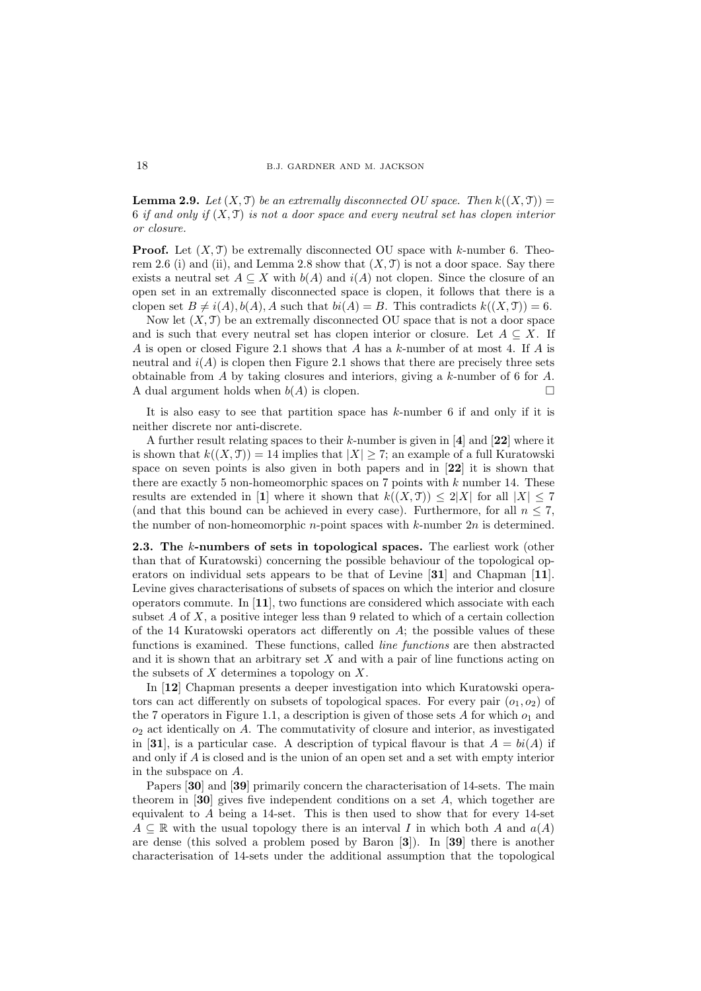**Lemma 2.9.** Let  $(X, \mathcal{T})$  be an extremally disconnected OU space. Then  $k((X, \mathcal{T}))$  = 6 if and only if  $(X, \mathcal{T})$  is not a door space and every neutral set has clopen interior or closure.

**Proof.** Let  $(X, \mathcal{T})$  be extremally disconnected OU space with k-number 6. Theorem 2.6 (i) and (ii), and Lemma 2.8 show that  $(X, \mathcal{T})$  is not a door space. Say there exists a neutral set  $A \subseteq X$  with  $b(A)$  and  $i(A)$  not clopen. Since the closure of an open set in an extremally disconnected space is clopen, it follows that there is a clopen set  $B \neq i(A), b(A), A$  such that  $bi(A) = B$ . This contradicts  $k((X, \mathcal{T})) = 6$ .

Now let  $(X, \mathcal{T})$  be an extremally disconnected OU space that is not a door space and is such that every neutral set has clopen interior or closure. Let  $A \subseteq X$ . If A is open or closed Figure 2.1 shows that A has a k-number of at most 4. If A is neutral and  $i(A)$  is clopen then Figure 2.1 shows that there are precisely three sets obtainable from A by taking closures and interiors, giving a k-number of 6 for A. A dual argument holds when  $b(A)$  is clopen.

It is also easy to see that partition space has k-number 6 if and only if it is neither discrete nor anti-discrete.

A further result relating spaces to their  $k$ -number is given in [4] and [22] where it is shown that  $k((X, \mathcal{T})) = 14$  implies that  $|X| \geq 7$ ; an example of a full Kuratowski space on seven points is also given in both papers and in [22] it is shown that there are exactly 5 non-homeomorphic spaces on 7 points with  $k$  number 14. These results are extended in [1] where it shown that  $k((X, \mathcal{T})) \leq 2|X|$  for all  $|X| \leq 7$ (and that this bound can be achieved in every case). Furthermore, for all  $n \leq 7$ , the number of non-homeomorphic *n*-point spaces with  $k$ -number  $2n$  is determined.

2.3. The k-numbers of sets in topological spaces. The earliest work (other than that of Kuratowski) concerning the possible behaviour of the topological operators on individual sets appears to be that of Levine [31] and Chapman [11]. Levine gives characterisations of subsets of spaces on which the interior and closure operators commute. In [11], two functions are considered which associate with each subset  $A$  of  $X$ , a positive integer less than 9 related to which of a certain collection of the 14 Kuratowski operators act differently on  $A$ ; the possible values of these functions is examined. These functions, called line functions are then abstracted and it is shown that an arbitrary set  $X$  and with a pair of line functions acting on the subsets of  $X$  determines a topology on  $X$ .

In [12] Chapman presents a deeper investigation into which Kuratowski operators can act differently on subsets of topological spaces. For every pair  $(o_1, o_2)$  of the 7 operators in Figure 1.1, a description is given of those sets  $A$  for which  $o_1$  and  $o<sub>2</sub>$  act identically on A. The commutativity of closure and interior, as investigated in [31], is a particular case. A description of typical flavour is that  $A = bi(A)$  if and only if A is closed and is the union of an open set and a set with empty interior in the subspace on A.

Papers [30] and [39] primarily concern the characterisation of 14-sets. The main theorem in  $[30]$  gives five independent conditions on a set A, which together are equivalent to A being a 14-set. This is then used to show that for every 14-set  $A \subseteq \mathbb{R}$  with the usual topology there is an interval I in which both A and  $a(A)$ are dense (this solved a problem posed by Baron [3]). In [39] there is another characterisation of 14-sets under the additional assumption that the topological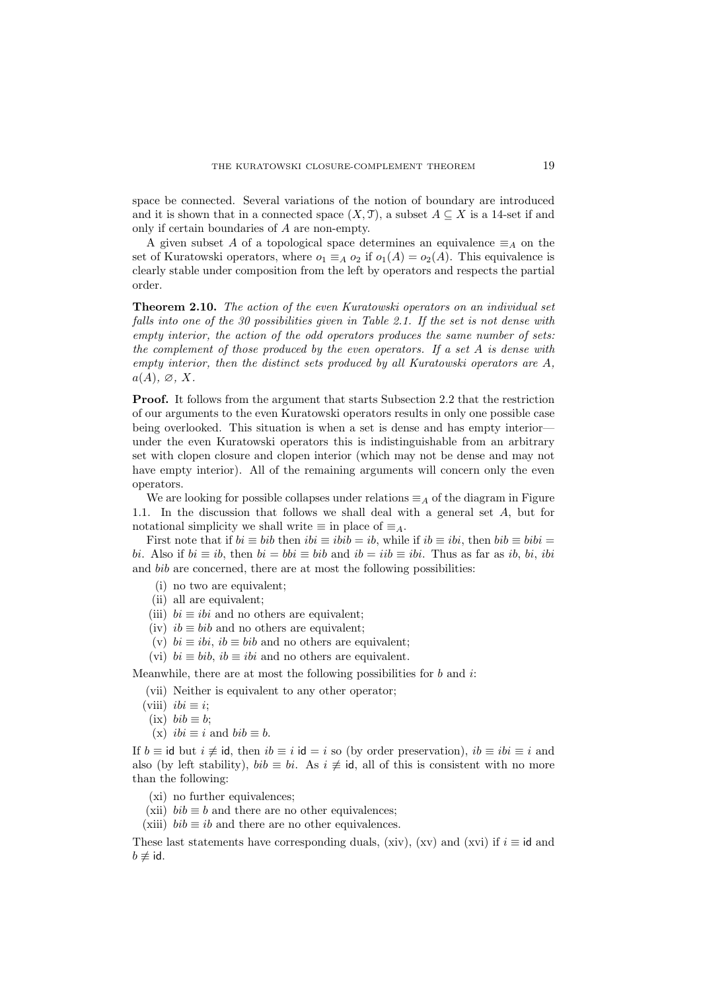space be connected. Several variations of the notion of boundary are introduced and it is shown that in a connected space  $(X, \mathcal{T})$ , a subset  $A \subseteq X$  is a 14-set if and only if certain boundaries of A are non-empty.

A given subset A of a topological space determines an equivalence  $\equiv_A$  on the set of Kuratowski operators, where  $o_1 \equiv_A o_2$  if  $o_1(A) = o_2(A)$ . This equivalence is clearly stable under composition from the left by operators and respects the partial order.

Theorem 2.10. The action of the even Kuratowski operators on an individual set falls into one of the 30 possibilities given in Table 2.1. If the set is not dense with empty interior, the action of the odd operators produces the same number of sets: the complement of those produced by the even operators. If a set A is dense with empty interior, then the distinct sets produced by all Kuratowski operators are A,  $a(A), \varnothing, X$ .

Proof. It follows from the argument that starts Subsection 2.2 that the restriction of our arguments to the even Kuratowski operators results in only one possible case being overlooked. This situation is when a set is dense and has empty interior under the even Kuratowski operators this is indistinguishable from an arbitrary set with clopen closure and clopen interior (which may not be dense and may not have empty interior). All of the remaining arguments will concern only the even operators.

We are looking for possible collapses under relations  $\equiv_A$  of the diagram in Figure 1.1. In the discussion that follows we shall deal with a general set A, but for notational simplicity we shall write  $\equiv$  in place of  $\equiv$ <sub>A</sub>.

First note that if  $bi \equiv bib$  then  $ibi \equiv ibi = ib$ , while if  $ib \equiv ibi$ , then  $bib \equiv bibi$ bi. Also if  $bi \equiv ib$ , then  $bi = bib \equiv bib$  and  $ib = iib \equiv ibi$ . Thus as far as ib, bi, ibi and bib are concerned, there are at most the following possibilities:

- (i) no two are equivalent;
- (ii) all are equivalent;
- (iii)  $bi \equiv ibi$  and no others are equivalent;
- (iv)  $ib \equiv bib$  and no others are equivalent;
- (v)  $bi \equiv ibi$ ,  $ib \equiv bib$  and no others are equivalent;
- (vi)  $bi \equiv bib, ib \equiv ibi$  and no others are equivalent.

Meanwhile, there are at most the following possibilities for  $b$  and  $i$ .

(vii) Neither is equivalent to any other operator;

- (viii)  $ibi \equiv i$ ;
- (ix)  $bib \equiv b$ ;
- (x)  $ibi \equiv i$  and  $bib \equiv b$ .

If  $b \equiv \text{id}$  but  $i \not\equiv \text{id}$ , then  $ib \equiv i$  id  $=i$  so (by order preservation),  $ib \equiv ibi \equiv i$  and also (by left stability),  $bib \equiv bi$ . As  $i \neq id$ , all of this is consistent with no more than the following:

- (xi) no further equivalences;
- (xii)  $bib \equiv b$  and there are no other equivalences;
- (xiii)  $bib \equiv ib$  and there are no other equivalences.

These last statements have corresponding duals, (xiv), (xv) and (xvi) if  $i \equiv id$  and  $b \not\equiv \mathsf{id}.$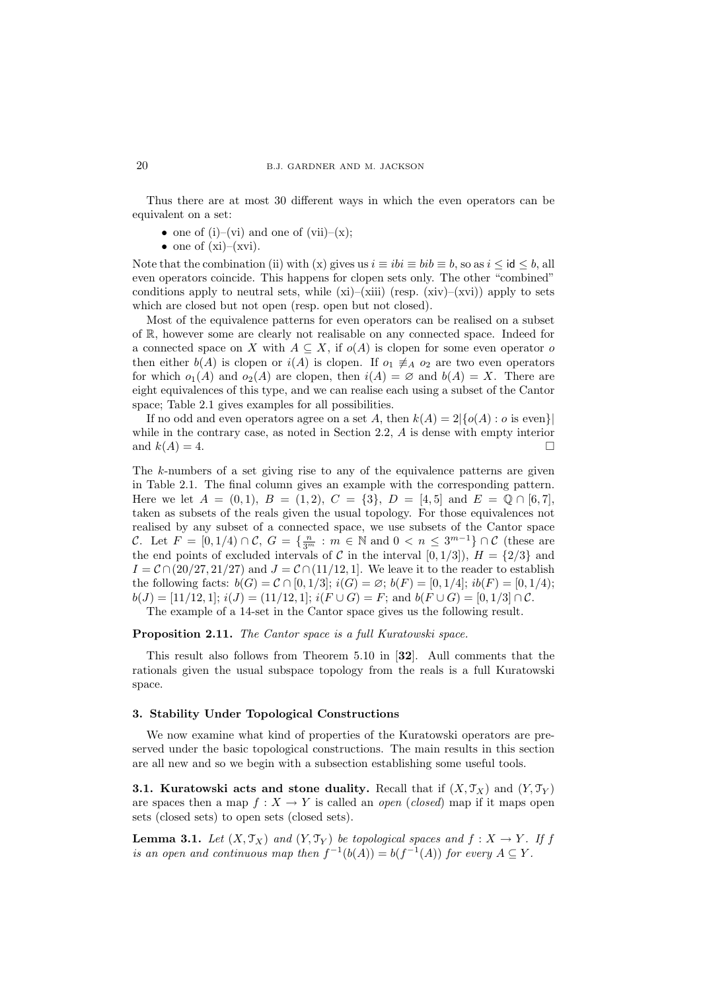Thus there are at most 30 different ways in which the even operators can be equivalent on a set:

- one of (i)–(vi) and one of (vii)–(x);
- one of  $(xi)$ – $(xvi)$ .

Note that the combination (ii) with (x) gives us  $i \equiv ibi \equiv bi \equiv b$ , so as  $i \leq id \leq b$ , all even operators coincide. This happens for clopen sets only. The other "combined" conditions apply to neutral sets, while  $(xi)$ – $(xii)$  (resp.  $(xiv)$ – $(xvi)$ ) apply to sets which are closed but not open (resp. open but not closed).

Most of the equivalence patterns for even operators can be realised on a subset of R, however some are clearly not realisable on any connected space. Indeed for a connected space on X with  $A \subseteq X$ , if  $o(A)$  is clopen for some even operator of then either  $b(A)$  is clopen or  $i(A)$  is clopen. If  $o_1 \neq a_2$  are two even operators for which  $o_1(A)$  and  $o_2(A)$  are clopen, then  $i(A) = \emptyset$  and  $b(A) = X$ . There are eight equivalences of this type, and we can realise each using a subset of the Cantor space; Table 2.1 gives examples for all possibilities.

If no odd and even operators agree on a set A, then  $k(A) = 2\{o(A) : o \text{ is even}\}\$ while in the contrary case, as noted in Section 2.2, A is dense with empty interior and  $k(A) = 4$ .

The k-numbers of a set giving rise to any of the equivalence patterns are given in Table 2.1. The final column gives an example with the corresponding pattern. Here we let  $A = (0, 1), B = (1, 2), C = \{3\}, D = [4, 5]$  and  $E = \mathbb{Q} \cap [6, 7],$ taken as subsets of the reals given the usual topology. For those equivalences not realised by any subset of a connected space, we use subsets of the Cantor space C. Let  $F = [0, 1/4) \cap C$ ,  $G = \{\frac{n}{3^m} : m \in \mathbb{N} \text{ and } 0 < n \leq 3^{m-1}\} \cap C$  (these are the end points of excluded intervals of C in the interval [0, 1/3]),  $H = \{2/3\}$  and  $I = C \cap (20/27, 21/27)$  and  $J = C \cap (11/12, 1]$ . We leave it to the reader to establish the following facts:  $b(G) = C \cap [0, 1/3]$ ;  $i(G) = \emptyset$ ;  $b(F) = [0, 1/4]$ ;  $ib(F) = [0, 1/4)$ ;  $b(J) = [11/12, 1]; i(J) = (11/12, 1]; i(F \cup G) = F;$  and  $b(F \cup G) = [0, 1/3] \cap C.$ 

The example of a 14-set in the Cantor space gives us the following result.

### Proposition 2.11. The Cantor space is a full Kuratowski space.

This result also follows from Theorem 5.10 in [32]. Aull comments that the rationals given the usual subspace topology from the reals is a full Kuratowski space.

# 3. Stability Under Topological Constructions

We now examine what kind of properties of the Kuratowski operators are preserved under the basic topological constructions. The main results in this section are all new and so we begin with a subsection establishing some useful tools.

**3.1. Kuratowski acts and stone duality.** Recall that if  $(X, \mathcal{T}_X)$  and  $(Y, \mathcal{T}_Y)$ are spaces then a map  $f: X \to Y$  is called an *open* (closed) map if it maps open sets (closed sets) to open sets (closed sets).

**Lemma 3.1.** Let  $(X, \mathcal{T}_X)$  and  $(Y, \mathcal{T}_Y)$  be topological spaces and  $f : X \to Y$ . If f is an open and continuous map then  $f^{-1}(b(A)) = b(f^{-1}(A))$  for every  $A \subseteq Y$ .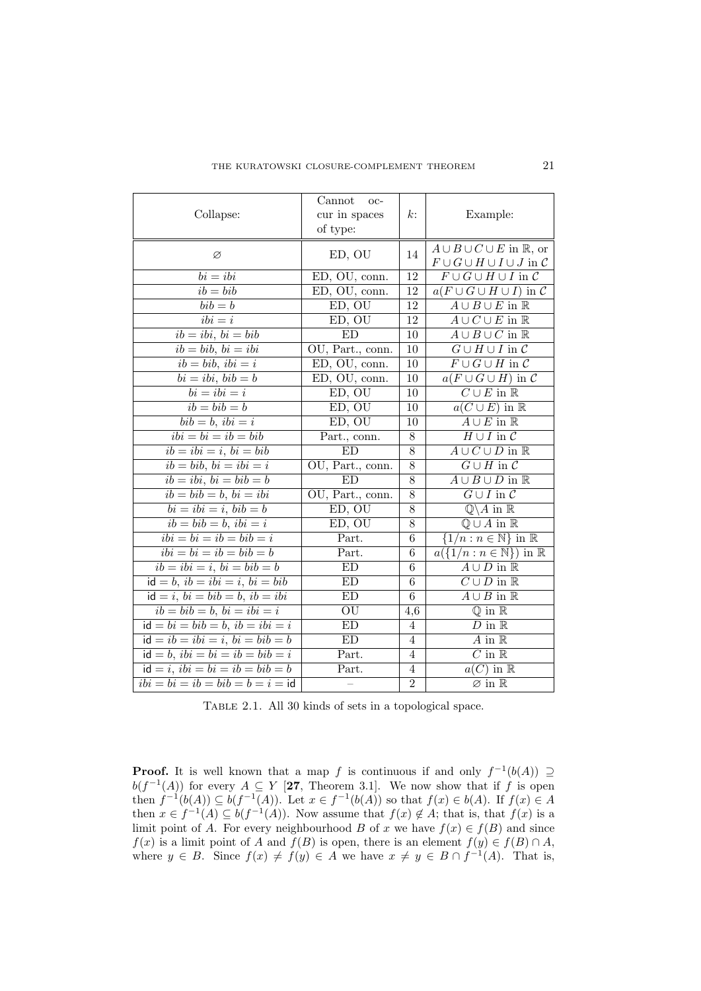| Collapse:                                                                                | Cannot<br>OC-<br>cur in spaces<br>$k$ :<br>of type: |                                        | Example:                                                                             |  |
|------------------------------------------------------------------------------------------|-----------------------------------------------------|----------------------------------------|--------------------------------------------------------------------------------------|--|
| Ø                                                                                        | 14<br>ED, OU                                        |                                        | $A \cup B \cup C \cup E$ in R, or<br>$F \cup G \cup H \cup I \cup J$ in $\mathcal C$ |  |
| $bi = ibi$                                                                               | 12<br>$\overline{ED}$ , OU, conn.                   |                                        | $F \cup G \cup H \cup I$ in $C$                                                      |  |
| $ib = bib$                                                                               | ED, OU, conn.                                       | 12<br>$a(F \cup G \cup H \cup I)$ in C |                                                                                      |  |
| $\overline{bib} = b$                                                                     | ED, OU                                              | $\overline{12}$                        | $A \cup B \cup E$ in $\mathbb R$                                                     |  |
| $\overline{ibi} = i$                                                                     | ED, OU                                              | $\overline{12}$                        | $A \cup \overline{C \cup E}$ in $\mathbb R$                                          |  |
| $ib = ibi, bi = bib$                                                                     | ED                                                  | 10                                     | $A \cup B \cup C$ in $\mathbb R$                                                     |  |
| $ib = bib, bi = ibi$                                                                     | OU, Part., conn.                                    | 10                                     | $G \cup H \cup I$ in $C$                                                             |  |
| $ib = bib, ibi = i$                                                                      | ED, OU, conn.                                       | 10                                     | $F \cup G \cup H$ in $\mathcal C$                                                    |  |
| $bi = ibi, bib = b$                                                                      | ED, OU, conn.                                       | $\overline{10}$                        | $a(F\cup G\cup H)$ in C                                                              |  |
| $\overline{bi = ibi} = i$                                                                | ED, OU                                              | 10                                     | $C \cup E$ in $\mathbb R$                                                            |  |
| $ib = bib = b$                                                                           | ED, OU                                              | 10                                     | $a(C \cup E)$ in $\mathbb R$                                                         |  |
| $bib = b, ibi = i$                                                                       | ED, OU                                              | 10                                     | $\overline{A \cup E}$ in $\overline{\mathbb{R}}$                                     |  |
| $ibi = bi = ib = bib$                                                                    | Part., conn.                                        | 8                                      | $H \cup I$ in $\mathcal C$                                                           |  |
| $ib = ibi = i, bi = bib$                                                                 | ED                                                  | $\overline{8}$                         | $\overline{A\cup C\cup D}$ in $\overline{\mathbb{R}}$                                |  |
| $\overline{ib = bib, bi} = ibi = i$                                                      | OU, Part., conn.                                    | $\overline{8}$                         | $\overline{G \cup H}$ in $\overline{\mathcal{C}}$                                    |  |
| $ib = ibi, bi = bib = b$                                                                 | <b>ED</b>                                           | $A \cup B \cup D$ in $\mathbb R$<br>8  |                                                                                      |  |
| $ib = bib = b, bi = ibi$                                                                 | OU, Part., conn.                                    | 8                                      | $\overline{G \cup I}$ in $\overline{\mathcal{C}}$                                    |  |
| $bi = ibi = i, bib = b$                                                                  | ED, OU                                              | $\overline{8}$                         | $\overline{\mathbb{Q}}\backslash A$ in $\mathbb{R}$                                  |  |
| $\overline{ib = bib = b, ibi} = i$                                                       | ED, OU                                              | 8                                      | $\overline{\mathbb{Q}\cup A}$ in $\mathbb{R}$                                        |  |
| $ibi = bi = ib = bib = i$                                                                | Part.                                               | $\overline{6}$                         | $\{1/n : n \in \mathbb{N}\}\$ in R                                                   |  |
| $ibi = bi = ib = bib = b$                                                                | Part.                                               | 6                                      | $a({1/n : n \in \mathbb{N}})$ in R                                                   |  |
| $ib = ibi = i, bi = bib = b$                                                             | $\mathop{\rm ED}\nolimits$                          | 6                                      | $A \cup D$ in $\mathbb R$                                                            |  |
| $id = b, ib = ibi = i, bi = bibi$                                                        | ED                                                  | $\overline{6}$                         | $C \cup D$ in $\mathbb R$                                                            |  |
| $id = i, bi = bib = b, ib = ibi$                                                         | ED                                                  | 6                                      | $\overline{A \cup B}$ in $\mathbb R$                                                 |  |
| $i\overline{b} = b\overline{ib} = b, \overline{bi} = ib\overline{i} = i$                 | OU<br>4,6                                           |                                        | $\overline{\mathbb{Q}$ in $\mathbb{R}$                                               |  |
| $id = bi = bib = b, ib = ibi = i$                                                        | ED<br>$D$ in $\mathbb R$<br>$\overline{4}$          |                                        |                                                                                      |  |
| $\overline{id} = i\overline{b} = i\overline{bi} = i, \overline{bi} = \overline{bib} = b$ | ED                                                  | $\overline{4}$                         | $\overline{A}$ in $\overline{\mathbb{R}}$                                            |  |
| $id = b$ , $ibi = bi = ib = bib = i$                                                     | Part.                                               | $\overline{4}$                         | $\overline{C}$ in $\mathbb R$                                                        |  |
| $id = i$ , $ibi = bi = ib = bib = b$                                                     | Part.                                               | $\overline{4}$                         | $a(C)$ in $\mathbb R$                                                                |  |
| $ibi = bi = ib = bib = b = i = id$                                                       |                                                     | $\overline{2}$                         | $\varnothing$ in $\mathbb R$                                                         |  |

TABLE 2.1. All 30 kinds of sets in a topological space.

**Proof.** It is well known that a map f is continuous if and only  $f^{-1}(b(A)) \supseteq$  $b(f^{-1}(A))$  for every  $A \subseteq Y$  [27, Theorem 3.1]. We now show that if f is open then  $f^{-1}(b(A)) \subseteq b(f^{-1}(A))$ . Let  $x \in f^{-1}(b(A))$  so that  $f(x) \in b(A)$ . If  $f(x) \in A$ then  $x \in f^{-1}(A) \subseteq b(f^{-1}(A))$ . Now assume that  $f(x) \notin A$ ; that is, that  $f(x)$  is a limit point of A. For every neighbourhood B of x we have  $f(x) \in f(B)$  and since  $f(x)$  is a limit point of A and  $f(B)$  is open, there is an element  $f(y) \in f(B) \cap A$ , where  $y \in B$ . Since  $f(x) \neq f(y) \in A$  we have  $x \neq y \in B \cap f^{-1}(A)$ . That is,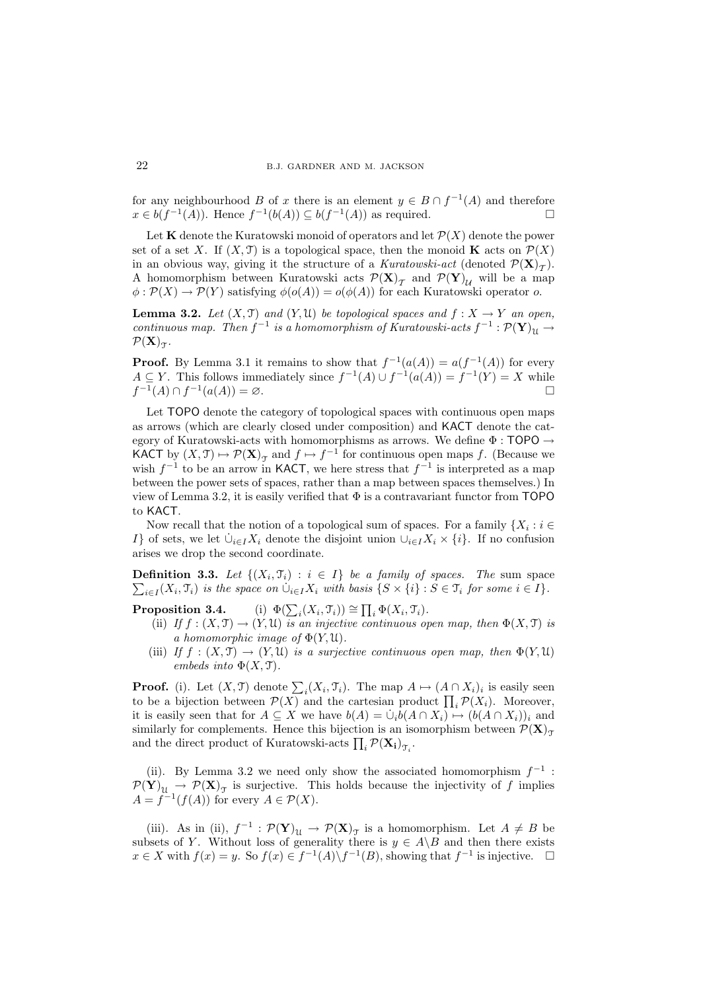for any neighbourhood B of x there is an element  $y \in B \cap f^{-1}(A)$  and therefore  $x \in b(f^{-1}(A))$ . Hence  $f^{-1}(b(A)) \subseteq b(f^{-1}(A))$  as required.

Let **K** denote the Kuratowski monoid of operators and let  $\mathcal{P}(X)$  denote the power set of a set X. If  $(X, \mathcal{T})$  is a topological space, then the monoid **K** acts on  $\mathcal{P}(X)$ in an obvious way, giving it the structure of a Kuratowski-act (denoted  $\mathcal{P}(\mathbf{X})_{\mathcal{T}}$ ). A homomorphism between Kuratowski acts  $\mathcal{P}(\mathbf{X})_{\mathcal{T}}$  and  $\mathcal{P}(\mathbf{Y})_{\mathcal{U}}$  will be a map  $\phi : \mathcal{P}(X) \to \mathcal{P}(Y)$  satisfying  $\phi(o(A)) = o(\phi(A))$  for each Kuratowski operator o.

**Lemma 3.2.** Let  $(X, \mathcal{T})$  and  $(Y, \mathcal{U})$  be topological spaces and  $f : X \to Y$  an open, continuous map. Then  $f^{-1}$  is a homomorphism of Kuratowski-acts  $f^{-1} : \mathcal{P}(\mathbf{Y})_{\mathfrak{U}} \to$  $\mathcal{P}(\mathbf{X})_{\mathcal{T}}$ .

**Proof.** By Lemma 3.1 it remains to show that  $f^{-1}(a(A)) = a(f^{-1}(A))$  for every  $A \subseteq Y$ . This follows immediately since  $f^{-1}(A) \cup f^{-1}(a(A)) = f^{-1}(Y) = X$  while  $f^{-1}(A) \cap f^{-1}(a(A)) = \varnothing.$ 

Let TOPO denote the category of topological spaces with continuous open maps as arrows (which are clearly closed under composition) and KACT denote the category of Kuratowski-acts with homomorphisms as arrows. We define  $\Phi$  : TOPO  $\rightarrow$ KACT by  $(X, \mathcal{T}) \mapsto \mathcal{P}(\mathbf{X})_{\mathcal{T}}$  and  $f \mapsto f^{-1}$  for continuous open maps f. (Because we wish  $f^{-1}$  to be an arrow in KACT, we here stress that  $f^{-1}$  is interpreted as a map between the power sets of spaces, rather than a map between spaces themselves.) In view of Lemma 3.2, it is easily verified that  $\Phi$  is a contravariant functor from TOPO to KACT.

Now recall that the notion of a topological sum of spaces. For a family  $\{X_i : i \in \mathbb{N}\}$ I} of sets, we let  $\dot{\cup}_{i\in I}X_i$  denote the disjoint union  $\cup_{i\in I}X_i\times\{i\}$ . If no confusion arises we drop the second coordinate.

**Definition 3.3.** Let  $\{(X_i, \mathcal{T}_i) : i \in I\}$  be a family of spaces. The sum space **Definition 3.3.** Let  $\{(X_i, \mathcal{T}_i) : i \in I\}$  be a family of spaces. The sum space  $\sum_{i \in I} (X_i, \mathcal{T}_i)$  is the space on  $\bigcup_{i \in I} X_i$  with basis  $\{S \times \{i\} : S \in \mathcal{T}_i$  for some  $i \in I\}$ .

Proposition 3.4.  $i(X_i, \mathfrak{T}_i)) \cong \prod_i \Phi(X_i, \mathfrak{T}_i).$ 

- (ii) If  $f : (X, \mathcal{T}) \to (Y, \mathcal{U})$  is an injective continuous open map, then  $\Phi(X, \mathcal{T})$  is a homomorphic image of  $\Phi(Y, \mathfrak{U})$ .
- (iii) If  $f : (X, \mathcal{T}) \to (Y, \mathcal{U})$  is a surjective continuous open map, then  $\Phi(Y, \mathcal{U})$ embeds into  $\Phi(X, \mathcal{T})$ .

**Proof.** (i). Let  $(X, \mathcal{T})$  denote  $\sum_i (X_i, \mathcal{T}_i)$ . The map  $A \mapsto (A \cap X_i)_i$  is easily seen to be a bijection between  $\mathcal{P}(X)$  and the cartesian product  $\prod_i \mathcal{P}(X_i)$ . Moreover, it is easily seen that for  $A \subseteq X$  we have  $b(A) = \dot{\cup}_i b(A \cap X_i) \mapsto (b(A \cap X_i))_i$  and similarly for complements. Hence this bijection is an isomorphism between  $\mathcal{P}(\mathbf{X})_{\tau}$ and the direct product of Kuratowski-acts  $\prod_i \mathcal{P}(\mathbf{X_i})_{\mathcal{T}_i}$ .

(ii). By Lemma 3.2 we need only show the associated homomorphism  $f^{-1}$ :  $\mathcal{P}(\mathbf{Y})_{\mathcal{U}} \to \mathcal{P}(\mathbf{X})_{\mathcal{T}}$  is surjective. This holds because the injectivity of f implies  $A = f^{-1}(f(A))$  for every  $A \in \mathcal{P}(X)$ .

(iii). As in (ii),  $f^{-1} : \mathcal{P}(\mathbf{Y})_{\mathcal{U}} \to \mathcal{P}(\mathbf{X})_{\mathcal{T}}$  is a homomorphism. Let  $A \neq B$  be subsets of Y. Without loss of generality there is  $y \in A \backslash B$  and then there exists  $x \in X$  with  $f(x) = y$ . So  $f(x) \in f^{-1}(A) \backslash f^{-1}(B)$ , showing that  $f^{-1}$  is injective.  $\Box$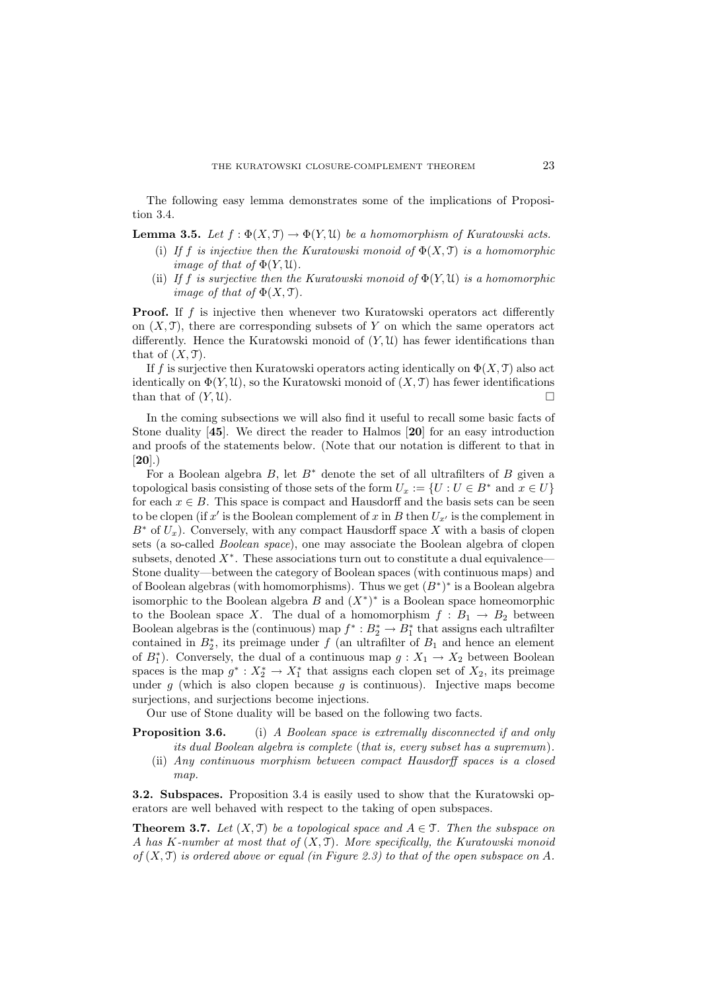The following easy lemma demonstrates some of the implications of Proposition 3.4.

**Lemma 3.5.** Let  $f : \Phi(X, \mathcal{T}) \to \Phi(Y, \mathcal{U})$  be a homomorphism of Kuratowski acts.

- (i) If f is injective then the Kuratowski monoid of  $\Phi(X, \mathcal{T})$  is a homomorphic *image of that of*  $\Phi(Y, \mathfrak{U})$ *.*
- (ii) If f is surjective then the Kuratowski monoid of  $\Phi(Y, \mathfrak{U})$  is a homomorphic *image of that of*  $\Phi(X, \mathcal{T})$ .

**Proof.** If  $f$  is injective then whenever two Kuratowski operators act differently on  $(X, \mathcal{T})$ , there are corresponding subsets of Y on which the same operators act differently. Hence the Kuratowski monoid of  $(Y, \mathcal{U})$  has fewer identifications than that of  $(X, \mathcal{T})$ .

If f is surjective then Kuratowski operators acting identically on  $\Phi(X, \mathcal{T})$  also act identically on  $\Phi(Y, \mathcal{U})$ , so the Kuratowski monoid of  $(X, \mathcal{T})$  has fewer identifications than that of  $(Y, \mathcal{U})$ .

In the coming subsections we will also find it useful to recall some basic facts of Stone duality [45]. We direct the reader to Halmos [20] for an easy introduction and proofs of the statements below. (Note that our notation is different to that in  $[20]$ .)

For a Boolean algebra  $B$ , let  $B^*$  denote the set of all ultrafilters of  $B$  given a topological basis consisting of those sets of the form  $U_x := \{U : U \in B^* \text{ and } x \in U\}$ for each  $x \in B$ . This space is compact and Hausdorff and the basis sets can be seen to be clopen (if x' is the Boolean complement of x in B then  $U_{x'}$  is the complement in  $B^*$  of  $U_x$ ). Conversely, with any compact Hausdorff space X with a basis of clopen sets (a so-called Boolean space), one may associate the Boolean algebra of clopen subsets, denoted  $X^*$ . These associations turn out to constitute a dual equivalence— Stone duality—between the category of Boolean spaces (with continuous maps) and of Boolean algebras (with homomorphisms). Thus we get  $(B^*)^*$  is a Boolean algebra isomorphic to the Boolean algebra  $B$  and  $(X^*)^*$  is a Boolean space homeomorphic to the Boolean space X. The dual of a homomorphism  $f : B_1 \to B_2$  between Boolean algebras is the (continuous) map  $f^* : B_2^* \to B_1^*$  that assigns each ultrafilter contained in  $B_2^*$ , its preimage under f (an ultrafilter of  $B_1$  and hence an element of  $B_1^*$ ). Conversely, the dual of a continuous map  $g: X_1 \to X_2$  between Boolean spaces is the map  $g^* : X_2^* \to X_1^*$  that assigns each clopen set of  $X_2$ , its preimage under  $g$  (which is also clopen because  $g$  is continuous). Injective maps become surjections, and surjections become injections.

Our use of Stone duality will be based on the following two facts.

- **Proposition 3.6.** (i) A Boolean space is extremally disconnected if and only its dual Boolean algebra is complete (that is, every subset has a supremum).
	- (ii) Any continuous morphism between compact Hausdorff spaces is a closed map.

3.2. Subspaces. Proposition 3.4 is easily used to show that the Kuratowski operators are well behaved with respect to the taking of open subspaces.

**Theorem 3.7.** Let  $(X, \mathcal{T})$  be a topological space and  $A \in \mathcal{T}$ . Then the subspace on A has K-number at most that of  $(X, \mathcal{T})$ . More specifically, the Kuratowski monoid of  $(X, \mathcal{T})$  is ordered above or equal (in Figure 2.3) to that of the open subspace on A.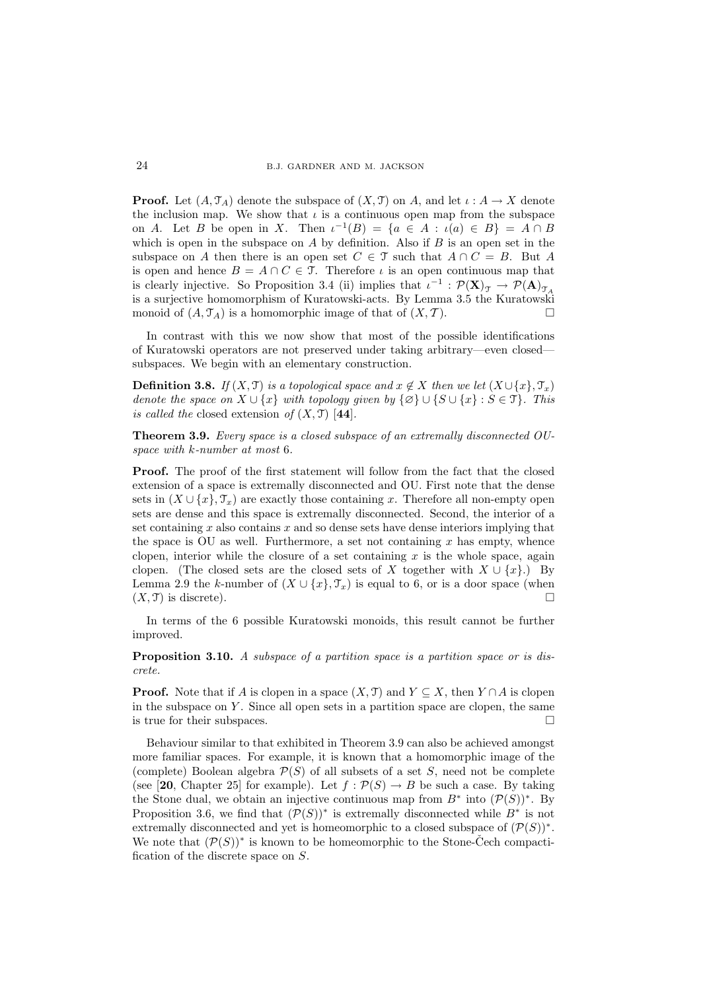**Proof.** Let  $(A, \mathcal{T}_A)$  denote the subspace of  $(X, \mathcal{T})$  on A, and let  $\iota : A \to X$  denote the inclusion map. We show that  $\iota$  is a continuous open map from the subspace on A. Let B be open in X. Then  $\iota^{-1}(B) = \{a \in A : \iota(a) \in B\} = A \cap B$ which is open in the subspace on  $A$  by definition. Also if  $B$  is an open set in the subspace on A then there is an open set  $C \in \mathcal{T}$  such that  $A \cap C = B$ . But A is open and hence  $B = A \cap C \in \mathcal{T}$ . Therefore  $\iota$  is an open continuous map that is clearly injective. So Proposition 3.4 (ii) implies that  $\iota^{-1} : \mathcal{P}(\mathbf{X})_{\mathcal{T}} \to \mathcal{P}(\mathbf{A})_{\mathcal{T}_A}$ is a surjective homomorphism of Kuratowski-acts. By Lemma 3.5 the Kuratowski monoid of  $(A, \mathcal{T}_A)$  is a homomorphic image of that of  $(X, \mathcal{T})$ .

In contrast with this we now show that most of the possible identifications of Kuratowski operators are not preserved under taking arbitrary—even closed subspaces. We begin with an elementary construction.

**Definition 3.8.** If  $(X, \mathcal{T})$  is a topological space and  $x \notin X$  then we let  $(X \cup \{x\}, \mathcal{T}_x)$ denote the space on  $X \cup \{x\}$  with topology given by  $\{\varnothing\} \cup \{S \cup \{x\} : S \in \mathcal{T}\}\$ . This is called the closed extension of  $(X, \mathfrak{T})$  [44].

Theorem 3.9. Every space is a closed subspace of an extremally disconnected OUspace with k-number at most 6.

Proof. The proof of the first statement will follow from the fact that the closed extension of a space is extremally disconnected and OU. First note that the dense sets in  $(X \cup \{x\}, \mathcal{T}_r)$  are exactly those containing x. Therefore all non-empty open sets are dense and this space is extremally disconnected. Second, the interior of a set containing  $x$  also contains  $x$  and so dense sets have dense interiors implying that the space is OU as well. Furthermore, a set not containing  $x$  has empty, whence clopen, interior while the closure of a set containing  $x$  is the whole space, again clopen. (The closed sets are the closed sets of X together with  $X \cup \{x\}$ .) By Lemma 2.9 the k-number of  $(X \cup \{x\}, \mathcal{T}_x)$  is equal to 6, or is a door space (when  $(X, \mathfrak{T})$  is discrete).

In terms of the 6 possible Kuratowski monoids, this result cannot be further improved.

Proposition 3.10. A subspace of a partition space is a partition space or is discrete.

**Proof.** Note that if A is clopen in a space  $(X, \mathcal{T})$  and  $Y \subseteq X$ , then  $Y \cap A$  is clopen in the subspace on  $Y$ . Since all open sets in a partition space are clopen, the same is true for their subspaces.  $\Box$ 

Behaviour similar to that exhibited in Theorem 3.9 can also be achieved amongst more familiar spaces. For example, it is known that a homomorphic image of the (complete) Boolean algebra  $\mathcal{P}(S)$  of all subsets of a set S, need not be complete (see [20, Chapter 25] for example). Let  $f : \mathcal{P}(S) \to B$  be such a case. By taking the Stone dual, we obtain an injective continuous map from  $B^*$  into  $(\mathcal{P}(S))^*$ . By Proposition 3.6, we find that  $(\mathcal{P}(S))^*$  is extremally disconnected while  $B^*$  is not extremally disconnected and yet is homeomorphic to a closed subspace of  $(\mathcal{P}(S))^*$ . We note that  $(\mathcal{P}(S))^*$  is known to be homeomorphic to the Stone-Cech compactification of the discrete space on S.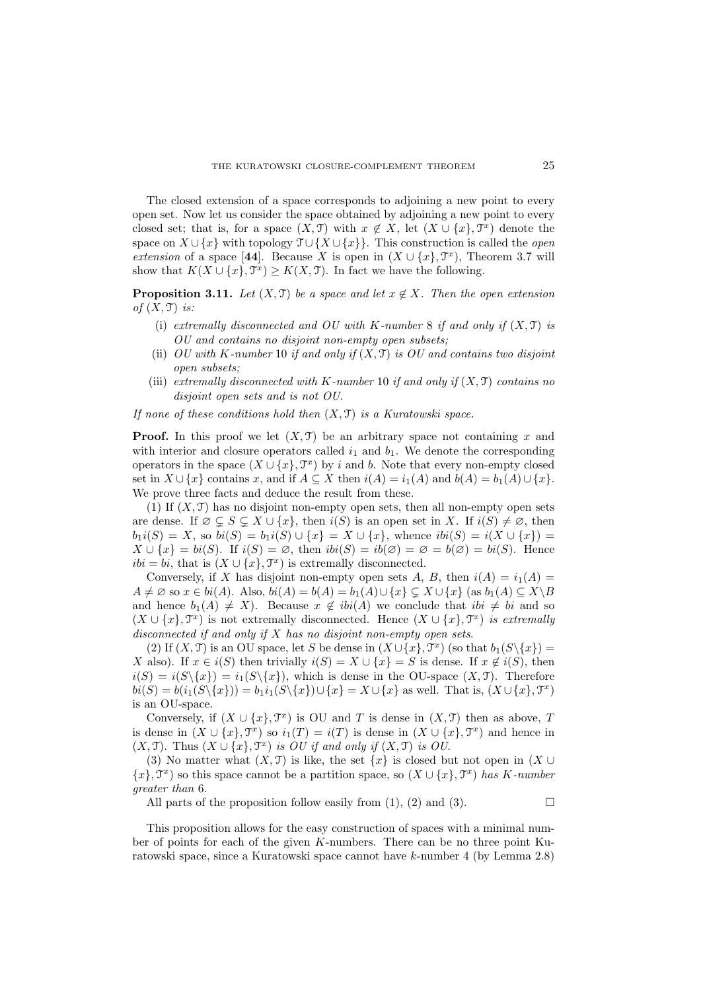The closed extension of a space corresponds to adjoining a new point to every open set. Now let us consider the space obtained by adjoining a new point to every closed set; that is, for a space  $(X, \mathcal{T})$  with  $x \notin X$ , let  $(X \cup \{x\}, \mathcal{T}^x)$  denote the space on  $X \cup \{x\}$  with topology  $\mathcal{T} \cup \{X \cup \{x\}\}\$ . This construction is called the *open* extension of a space [44]. Because X is open in  $(X \cup \{x\}, \mathcal{T}^x)$ , Theorem 3.7 will show that  $K(X \cup \{x\}, \mathcal{T}^x) \geq K(X, \mathcal{T})$ . In fact we have the following.

**Proposition 3.11.** Let  $(X, \mathcal{T})$  be a space and let  $x \notin X$ . Then the open extension of  $(X, \mathcal{T})$  is:

- (i) extremally disconnected and OU with K-number 8 if and only if  $(X, \mathcal{T})$  is OU and contains no disjoint non-empty open subsets;
- (ii) OU with K-number 10 if and only if  $(X, \mathcal{T})$  is OU and contains two disjoint open subsets;
- (iii) extremally disconnected with K-number 10 if and only if  $(X, \mathcal{T})$  contains no disjoint open sets and is not OU.

If none of these conditions hold then  $(X, \mathcal{T})$  is a Kuratowski space.

**Proof.** In this proof we let  $(X, \mathcal{T})$  be an arbitrary space not containing x and with interior and closure operators called  $i_1$  and  $b_1$ . We denote the corresponding operators in the space  $(X \cup \{x\}, \mathcal{T}^x)$  by i and b. Note that every non-empty closed set in  $X \cup \{x\}$  contains x, and if  $A \subseteq X$  then  $i(A) = i_1(A)$  and  $b(A) = b_1(A) \cup \{x\}$ . We prove three facts and deduce the result from these.

(1) If  $(X, \mathcal{T})$  has no disjoint non-empty open sets, then all non-empty open sets are dense. If  $\emptyset \subsetneq S \subsetneq X \cup \{x\}$ , then  $i(S)$  is an open set in X. If  $i(S) \neq \emptyset$ , then  $b_1i(S) = X$ , so  $bi(S) = b_1i(S) \cup \{x\} = X \cup \{x\}$ , whence  $ibi(S) = i(X \cup \{x\}) =$  $X \cup \{x\} = bi(S)$ . If  $i(S) = \emptyset$ , then  $ibi(S) = ib(\emptyset) = \emptyset = bi(S)$ . Hence  $ibi = bi$ , that is  $(X \cup \{x\}, \mathcal{T}^x)$  is extremally disconnected.

Conversely, if X has disjoint non-empty open sets A, B, then  $i(A) = i_1(A)$  $A \neq \emptyset$  so  $x \in bi(A)$ . Also,  $bi(A) = b(A) = b_1(A) \cup \{x\} \subsetneq X \cup \{x\}$  (as  $b_1(A) \subseteq X \setminus B$ and hence  $b_1(A) \neq X$ ). Because  $x \notin ibi(A)$  we conclude that  $ibi \neq bi$  and so  $(X \cup \{x\}, \mathcal{T}^x)$  is not extremally disconnected. Hence  $(X \cup \{x\}, \mathcal{T}^x)$  is extremally disconnected if and only if  $X$  has no disjoint non-empty open sets.

(2) If  $(X, \mathcal{T})$  is an OU space, let S be dense in  $(X \cup \{x\}, \mathcal{T}^x)$  (so that  $b_1(S \setminus \{x\}) =$ X also). If  $x \in i(S)$  then trivially  $i(S) = X \cup \{x\} = S$  is dense. If  $x \notin i(S)$ , then  $i(S) = i(S\{x\}) = i_1(S\{x\}),$  which is dense in the OU-space  $(X, \mathcal{T})$ . Therefore  $bi(S) = b(i_1(S\setminus\{x\})) = b_1i_1(S\setminus\{x\}) \cup \{x\} = X \cup \{x\}$  as well. That is,  $(X \cup \{x\}, \mathcal{T}^x)$ is an OU-space.

Conversely, if  $(X \cup \{x\}, \mathcal{T}^x)$  is OU and T is dense in  $(X, \mathcal{T})$  then as above, T is dense in  $(X \cup \{x\}, \mathcal{T}^x)$  so  $i_1(T) = i(T)$  is dense in  $(X \cup \{x\}, \mathcal{T}^x)$  and hence in  $(X, \mathfrak{T})$ . Thus  $(X \cup \{x\}, \mathfrak{T}^x)$  is OU if and only if  $(X, \mathfrak{T})$  is OU.

(3) No matter what  $(X, \mathcal{T})$  is like, the set  $\{x\}$  is closed but not open in  $(X \cup$  ${x}$ ,  $\mathcal{T}^{x}$ ) so this space cannot be a partition space, so  $(X \cup \{x\}, \mathcal{T}^{x})$  has K-number greater than 6.

All parts of the proposition follow easily from  $(1)$ ,  $(2)$  and  $(3)$ .

This proposition allows for the easy construction of spaces with a minimal number of points for each of the given K-numbers. There can be no three point Kuratowski space, since a Kuratowski space cannot have k-number 4 (by Lemma 2.8)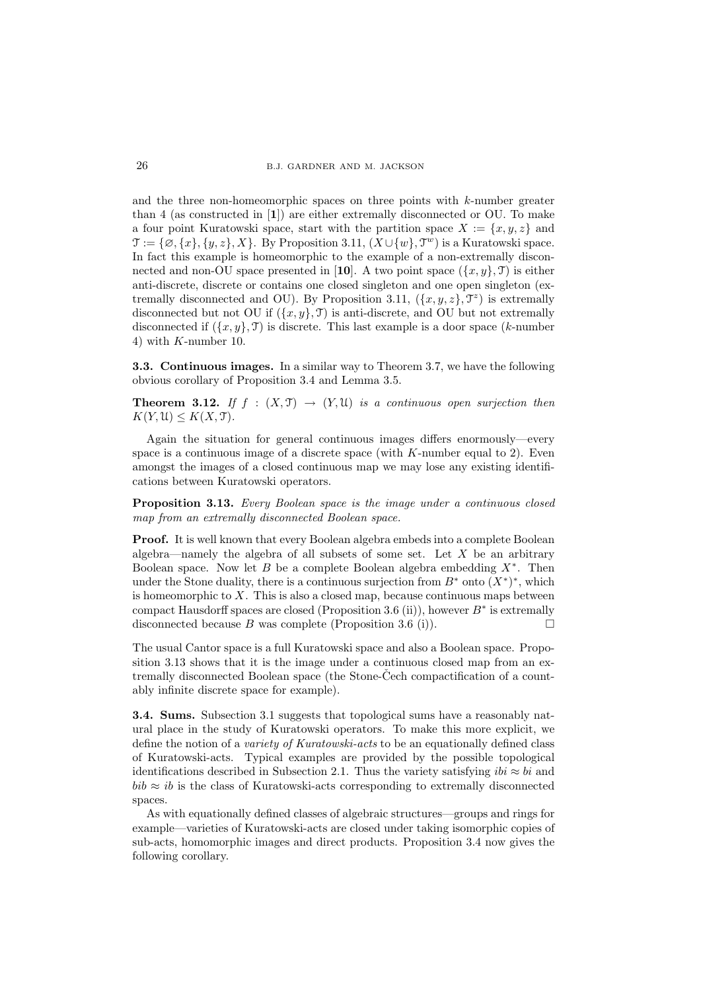and the three non-homeomorphic spaces on three points with k-number greater than 4 (as constructed in [1]) are either extremally disconnected or OU. To make a four point Kuratowski space, start with the partition space  $X := \{x, y, z\}$  and  $\mathcal{T} := \{\emptyset, \{x\}, \{y, z\}, X\}$ . By Proposition 3.11,  $(X \cup \{w\}, \mathcal{T}^w)$  is a Kuratowski space. In fact this example is homeomorphic to the example of a non-extremally disconnected and non-OU space presented in [10]. A two point space  $({x, y}, 0)$  is either anti-discrete, discrete or contains one closed singleton and one open singleton (extremally disconnected and OU). By Proposition 3.11,  $({x, y, z}, \mathcal{T}^z)$  is extremally disconnected but not OU if  $({x, y}$ , T) is anti-discrete, and OU but not extremally disconnected if  $({x, y}, \mathcal{T})$  is discrete. This last example is a door space (k-number 4) with K-number 10.

3.3. Continuous images. In a similar way to Theorem 3.7, we have the following obvious corollary of Proposition 3.4 and Lemma 3.5.

**Theorem 3.12.** If  $f : (X, \mathcal{T}) \to (Y, \mathcal{U})$  is a continuous open surjection then  $K(Y, \mathfrak{U}) \leq K(X, \mathfrak{T}).$ 

Again the situation for general continuous images differs enormously—every space is a continuous image of a discrete space (with  $K$ -number equal to 2). Even amongst the images of a closed continuous map we may lose any existing identifications between Kuratowski operators.

Proposition 3.13. Every Boolean space is the image under a continuous closed map from an extremally disconnected Boolean space.

Proof. It is well known that every Boolean algebra embeds into a complete Boolean algebra—namely the algebra of all subsets of some set. Let  $X$  be an arbitrary Boolean space. Now let  $B$  be a complete Boolean algebra embedding  $X^*$ . Then under the Stone duality, there is a continuous surjection from  $B^*$  onto  $(X^*)^*$ , which is homeomorphic to  $X$ . This is also a closed map, because continuous maps between compact Hausdorff spaces are closed (Proposition 3.6 (ii)), however  $B^*$  is extremally disconnected because  $B$  was complete (Proposition 3.6 (i)).

The usual Cantor space is a full Kuratowski space and also a Boolean space. Proposition 3.13 shows that it is the image under a continuous closed map from an extremally disconnected Boolean space (the Stone-Cech compactification of a countably infinite discrete space for example).

3.4. Sums. Subsection 3.1 suggests that topological sums have a reasonably natural place in the study of Kuratowski operators. To make this more explicit, we define the notion of a *variety of Kuratowski-acts* to be an equationally defined class of Kuratowski-acts. Typical examples are provided by the possible topological identifications described in Subsection 2.1. Thus the variety satisfying  $ibi \approx bi$  and  $bib \approx ib$  is the class of Kuratowski-acts corresponding to extremally disconnected spaces.

As with equationally defined classes of algebraic structures—groups and rings for example—varieties of Kuratowski-acts are closed under taking isomorphic copies of sub-acts, homomorphic images and direct products. Proposition 3.4 now gives the following corollary.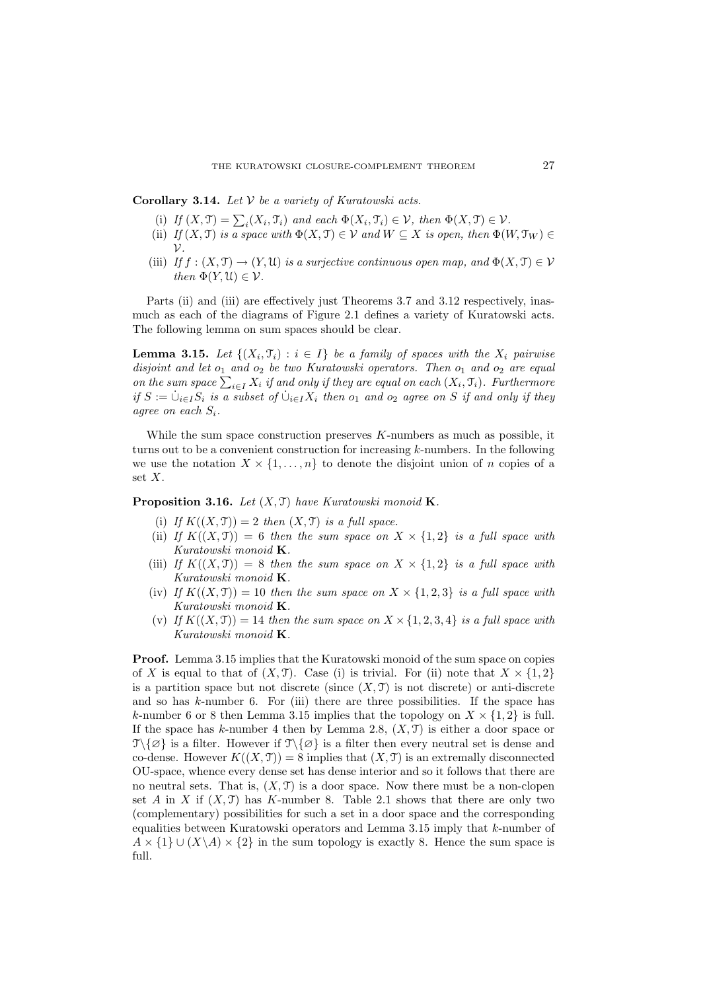**Corollary 3.14.** Let  $V$  be a variety of Kuratowski acts.

- (i) If  $(X, \mathcal{T}) = \sum_i (X_i, \mathcal{T}_i)$  and each  $\Phi(X_i, \mathcal{T}_i) \in \mathcal{V}$ , then  $\Phi(X, \mathcal{T}) \in \mathcal{V}$ .
- (ii) If  $(X, \mathcal{T})$  is a space with  $\Phi(X, \mathcal{T}) \in \mathcal{V}$  and  $W \subseteq X$  is open, then  $\Phi(W, \mathcal{T}_W) \in$  $\mathcal V$ .
- (iii) If  $f:(X,\mathfrak{T})\to(Y,\mathfrak{U})$  is a surjective continuous open map, and  $\Phi(X,\mathfrak{T})\in\mathcal{V}$ then  $\Phi(Y, \mathfrak{U}) \in \mathcal{V}$ .

Parts (ii) and (iii) are effectively just Theorems 3.7 and 3.12 respectively, inasmuch as each of the diagrams of Figure 2.1 defines a variety of Kuratowski acts. The following lemma on sum spaces should be clear.

**Lemma 3.15.** Let  $\{(X_i, \mathcal{T}_i) : i \in I\}$  be a family of spaces with the  $X_i$  pairwise disjoint and let  $o_1$  and  $o_2$  be two Kuratowski operators. Then  $o_1$  and  $o_2$  are equal on the sum space  $\sum_{i\in I} X_i$  if and only if they are equal on each  $(X_i, \mathfrak{T}_i)$ . Furthermore if  $S := \bigcup_{i \in I} S_i$  is a subset of  $\bigcup_{i \in I} X_i$  then  $o_1$  and  $o_2$  agree on S if and only if they agree on each  $S_i$ .

While the sum space construction preserves  $K$ -numbers as much as possible, it turns out to be a convenient construction for increasing k-numbers. In the following we use the notation  $X \times \{1, \ldots, n\}$  to denote the disjoint union of n copies of a set  $X$ .

**Proposition 3.16.** Let  $(X, \mathcal{T})$  have Kuratowski monoid **K**.

- (i) If  $K((X, \mathcal{T})) = 2$  then  $(X, \mathcal{T})$  is a full space.
- (ii) If  $K((X, \mathcal{T})) = 6$  then the sum space on  $X \times \{1,2\}$  is a full space with Kuratowski monoid K.
- (iii) If  $K((X, \mathcal{T})) = 8$  then the sum space on  $X \times \{1,2\}$  is a full space with Kuratowski monoid K.
- (iv) If  $K((X, \mathcal{T})) = 10$  then the sum space on  $X \times \{1, 2, 3\}$  is a full space with Kuratowski monoid K.
- (v) If  $K((X, \mathcal{T})) = 14$  then the sum space on  $X \times \{1, 2, 3, 4\}$  is a full space with Kuratowski monoid K.

Proof. Lemma 3.15 implies that the Kuratowski monoid of the sum space on copies of X is equal to that of  $(X, \mathcal{T})$ . Case (i) is trivial. For (ii) note that  $X \times \{1, 2\}$ is a partition space but not discrete (since  $(X, \mathcal{T})$  is not discrete) or anti-discrete and so has  $k$ -number 6. For (iii) there are three possibilities. If the space has k-number 6 or 8 then Lemma 3.15 implies that the topology on  $X \times \{1,2\}$  is full. If the space has k-number 4 then by Lemma 2.8,  $(X, \mathcal{T})$  is either a door space or  $\mathcal{T}\{\emptyset\}$  is a filter. However if  $\mathcal{T}\{\emptyset\}$  is a filter then every neutral set is dense and co-dense. However  $K((X, \mathcal{T})) = 8$  implies that  $(X, \mathcal{T})$  is an extremally disconnected OU-space, whence every dense set has dense interior and so it follows that there are no neutral sets. That is,  $(X, \mathcal{T})$  is a door space. Now there must be a non-clopen set A in X if  $(X, \mathcal{T})$  has K-number 8. Table 2.1 shows that there are only two (complementary) possibilities for such a set in a door space and the corresponding equalities between Kuratowski operators and Lemma 3.15 imply that k-number of  $A \times \{1\} \cup (X \backslash A) \times \{2\}$  in the sum topology is exactly 8. Hence the sum space is full.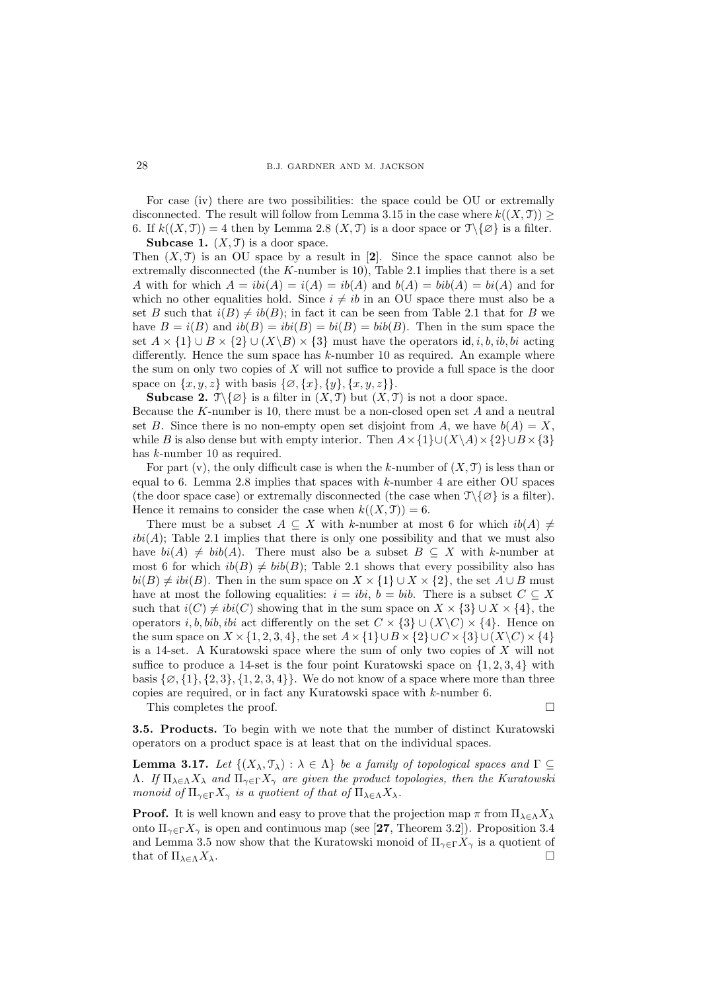For case (iv) there are two possibilities: the space could be OU or extremally disconnected. The result will follow from Lemma 3.15 in the case where  $k((X, \mathcal{T}))$ 6. If  $k((X,\mathfrak{T})) = 4$  then by Lemma 2.8  $(X,\mathfrak{T})$  is a door space or  $\mathfrak{T}\setminus\{\emptyset\}$  is a filter. **Subcase 1.**  $(X, \mathcal{T})$  is a door space.

Then  $(X, \mathcal{T})$  is an OU space by a result in [2]. Since the space cannot also be extremally disconnected (the  $K$ -number is 10), Table 2.1 implies that there is a set A with for which  $A = ibi(A) = i(A) = ib(A)$  and  $b(A) = bi(A) = bi(A)$  and for which no other equalities hold. Since  $i \neq ib$  in an OU space there must also be a set B such that  $i(B) \neq ib(B)$ ; in fact it can be seen from Table 2.1 that for B we have  $B = i(B)$  and  $ib(B) = bi(B) = bi(B) = bib(B)$ . Then in the sum space the set  $A \times \{1\} \cup B \times \{2\} \cup (X \backslash B) \times \{3\}$  must have the operators id, i, b, ib, bi acting differently. Hence the sum space has  $k$ -number 10 as required. An example where the sum on only two copies of X will not suffice to provide a full space is the door space on  $\{x, y, z\}$  with basis  $\{\emptyset, \{x\}, \{y\}, \{x, y, z\}\}.$ 

**Subcase 2.**  $\mathcal{T}\backslash\{\emptyset\}$  is a filter in  $(X,\mathcal{T})$  but  $(X,\mathcal{T})$  is not a door space. Because the K-number is 10, there must be a non-closed open set  $A$  and a neutral set B. Since there is no non-empty open set disjoint from A, we have  $b(A) = X$ , while B is also dense but with empty interior. Then  $A \times \{1\} \cup (X \setminus A) \times \{2\} \cup B \times \{3\}$ has k-number 10 as required.

For part (v), the only difficult case is when the k-number of  $(X, \mathcal{T})$  is less than or equal to 6. Lemma 2.8 implies that spaces with  $k$ -number 4 are either OU spaces (the door space case) or extremally disconnected (the case when  $\mathcal{T}\setminus\{\emptyset\}$  is a filter). Hence it remains to consider the case when  $k((X, \mathcal{T})) = 6$ .

There must be a subset  $A \subseteq X$  with k-number at most 6 for which  $ib(A) \neq$  $ibi(A)$ ; Table 2.1 implies that there is only one possibility and that we must also have  $bi(A) \neq bib(A)$ . There must also be a subset  $B \subseteq X$  with k-number at most 6 for which  $ib(B) \neq bib(B)$ ; Table 2.1 shows that every possibility also has  $bi(B) \neq ibi(B)$ . Then in the sum space on  $X \times \{1\} \cup X \times \{2\}$ , the set  $A \cup B$  must have at most the following equalities:  $i = ibi$ ,  $b = bib$ . There is a subset  $C \subseteq X$ such that  $i(C) \neq ibi(C)$  showing that in the sum space on  $X \times \{3\} \cup X \times \{4\}$ , the operators i, b, bib, ibi act differently on the set  $C \times \{3\} \cup (X\backslash C) \times \{4\}$ . Hence on the sum space on  $X \times \{1, 2, 3, 4\}$ , the set  $A \times \{1\} \cup B \times \{2\} \cup C \times \{3\} \cup (X\backslash C) \times \{4\}$ is a 14-set. A Kuratowski space where the sum of only two copies of  $X$  will not suffice to produce a 14-set is the four point Kuratowski space on  $\{1, 2, 3, 4\}$  with basis  $\{\emptyset, \{1\}, \{2,3\}, \{1,2,3,4\}\}.$  We do not know of a space where more than three copies are required, or in fact any Kuratowski space with k-number 6.

This completes the proof.

3.5. Products. To begin with we note that the number of distinct Kuratowski operators on a product space is at least that on the individual spaces.

**Lemma 3.17.** Let  $\{(X_\lambda, \mathcal{T}_\lambda) : \lambda \in \Lambda\}$  be a family of topological spaces and  $\Gamma \subseteq$ Λ. If  $\Pi_{\lambda \in \Lambda} X_{\lambda}$  and  $\Pi_{\gamma \in \Gamma} X_{\gamma}$  are given the product topologies, then the Kuratowski monoid of  $\Pi_{\gamma \in \Gamma} X_{\gamma}$  is a quotient of that of  $\Pi_{\lambda \in \Lambda} X_{\lambda}$ .

**Proof.** It is well known and easy to prove that the projection map  $\pi$  from  $\Pi_{\lambda \in \Lambda} X_{\lambda}$ onto  $\Pi_{\gamma \in \Gamma} X_{\gamma}$  is open and continuous map (see [27, Theorem 3.2]). Proposition 3.4 and Lemma 3.5 now show that the Kuratowski monoid of  $\Pi_{\gamma \in \Gamma} X_{\gamma}$  is a quotient of that of  $\Pi_{\lambda \in \Lambda} X_{\lambda}$ .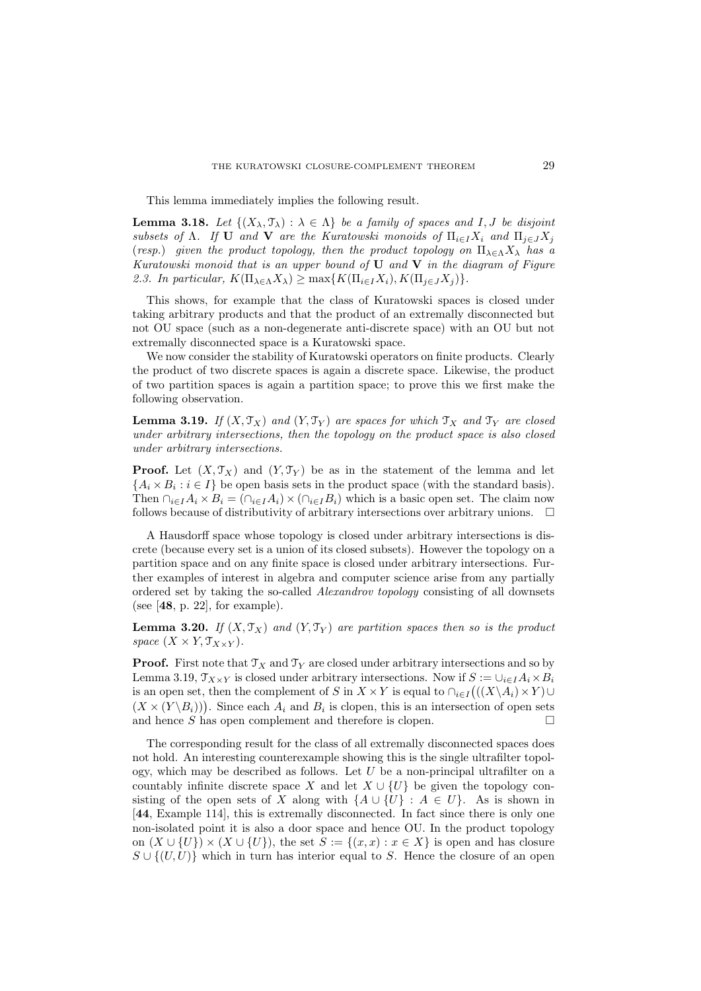This lemma immediately implies the following result.

**Lemma 3.18.** Let  $\{(X_{\lambda}, \mathcal{T}_{\lambda}) : \lambda \in \Lambda\}$  be a family of spaces and I, J be disjoint subsets of  $\Lambda$ . If U and V are the Kuratowski monoids of  $\Pi_{i\in I}X_i$  and  $\Pi_{i\in J}X_j$ (resp.) given the product topology, then the product topology on  $\Pi_{\lambda \in \Lambda} X_{\lambda}$  has a Kuratowski monoid that is an upper bound of  $U$  and  $V$  in the diagram of Figure 2.3. In particular,  $K(\Pi_{\lambda \in \Lambda} X_{\lambda}) \geq \max\{K(\Pi_{i \in I} X_i), K(\Pi_{i \in J} X_i)\}.$ 

This shows, for example that the class of Kuratowski spaces is closed under taking arbitrary products and that the product of an extremally disconnected but not OU space (such as a non-degenerate anti-discrete space) with an OU but not extremally disconnected space is a Kuratowski space.

We now consider the stability of Kuratowski operators on finite products. Clearly the product of two discrete spaces is again a discrete space. Likewise, the product of two partition spaces is again a partition space; to prove this we first make the following observation.

**Lemma 3.19.** If  $(X, \mathcal{T}_X)$  and  $(Y, \mathcal{T}_Y)$  are spaces for which  $\mathcal{T}_X$  and  $\mathcal{T}_Y$  are closed under arbitrary intersections, then the topology on the product space is also closed under arbitrary intersections.

**Proof.** Let  $(X, \mathcal{T}_X)$  and  $(Y, \mathcal{T}_Y)$  be as in the statement of the lemma and let  $\{A_i \times B_i : i \in I\}$  be open basis sets in the product space (with the standard basis). Then  $\bigcap_{i\in I}A_i\times B_i=(\bigcap_{i\in I}A_i)\times(\bigcap_{i\in I}B_i)$  which is a basic open set. The claim now follows because of distributivity of arbitrary intersections over arbitrary unions.  $\Box$ 

A Hausdorff space whose topology is closed under arbitrary intersections is discrete (because every set is a union of its closed subsets). However the topology on a partition space and on any finite space is closed under arbitrary intersections. Further examples of interest in algebra and computer science arise from any partially ordered set by taking the so-called Alexandrov topology consisting of all downsets (see  $[48, p. 22]$ , for example).

**Lemma 3.20.** If  $(X, \mathcal{T}_X)$  and  $(Y, \mathcal{T}_Y)$  are partition spaces then so is the product space  $(X \times Y, \mathcal{T}_{X \times Y}).$ 

**Proof.** First note that  $\mathcal{T}_X$  and  $\mathcal{T}_Y$  are closed under arbitrary intersections and so by Lemma 3.19,  $\mathcal{T}_{X\times Y}$  is closed under arbitrary intersections. Now if  $S := \cup_{i\in I} A_i \times B_i$ is an open set, then the complement of S in  $X \times Y$  is equal to  $\bigcap_{i \in I} ((X \backslash A_i) \times Y) \cup$  $(X \times (Y \backslash B_i))$ . Since each  $A_i$  and  $B_i$  is clopen, this is an intersection of open sets and hence S has open complement and therefore is clopen.  $\square$ 

The corresponding result for the class of all extremally disconnected spaces does not hold. An interesting counterexample showing this is the single ultrafilter topology, which may be described as follows. Let  $U$  be a non-principal ultrafilter on a countably infinite discrete space X and let  $X \cup \{U\}$  be given the topology consisting of the open sets of X along with  $\{A \cup \{U\} : A \in U\}$ . As is shown in [44, Example 114], this is extremally disconnected. In fact since there is only one non-isolated point it is also a door space and hence OU. In the product topology on  $(X \cup \{U\}) \times (X \cup \{U\})$ , the set  $S := \{(x, x) : x \in X\}$  is open and has closure  $S \cup \{(U, U)\}\$  which in turn has interior equal to S. Hence the closure of an open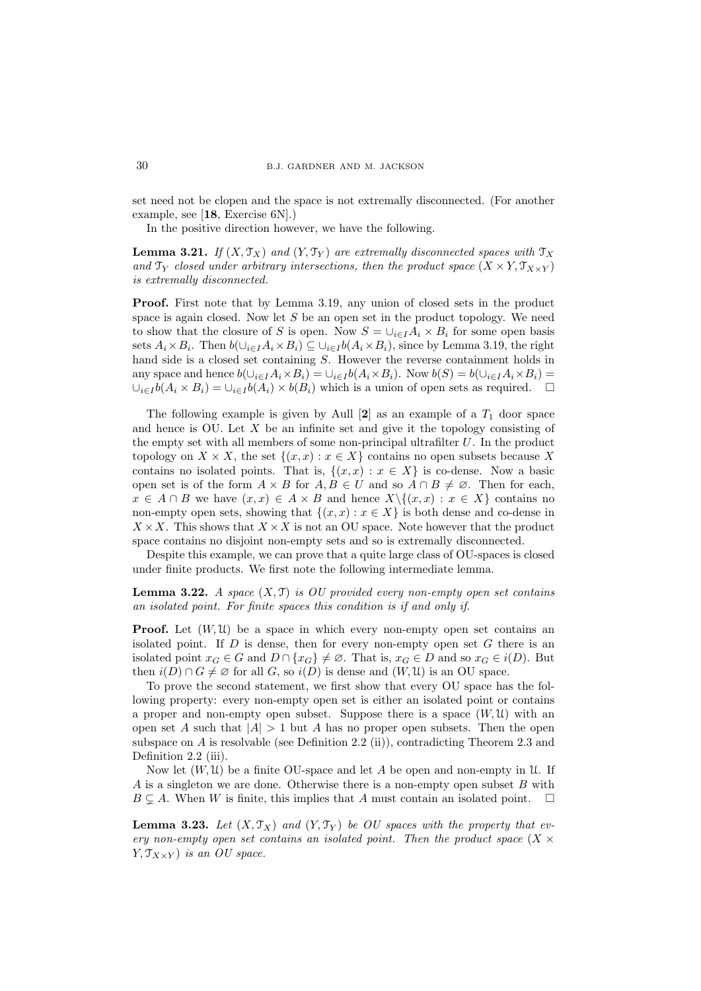set need not be clopen and the space is not extremally disconnected. (For another example, see [18, Exercise 6N].)

In the positive direction however, we have the following.

**Lemma 3.21.** If  $(X, \mathcal{T}_X)$  and  $(Y, \mathcal{T}_Y)$  are extremally disconnected spaces with  $\mathcal{T}_X$ and  $\mathfrak{T}_Y$  closed under arbitrary intersections, then the product space  $(X \times Y, \mathfrak{T}_{X \times Y})$ is extremally disconnected.

Proof. First note that by Lemma 3.19, any union of closed sets in the product space is again closed. Now let  $S$  be an open set in the product topology. We need to show that the closure of S is open. Now  $S = \bigcup_{i \in I} A_i \times B_i$  for some open basis sets  $A_i \times B_i$ . Then  $b(\cup_{i \in I} A_i \times B_i) \subseteq \cup_{i \in I} b(A_i \times B_i)$ , since by Lemma 3.19, the right hand side is a closed set containing S. However the reverse containment holds in any space and hence  $b(\cup_{i\in I}A_i\times B_i)=\cup_{i\in I}b(A_i\times B_i)$ . Now  $b(S)=b(\cup_{i\in I}A_i\times B_i)=$  $\bigcup_{i\in I} b(A_i \times B_i) = \bigcup_{i\in I} b(A_i) \times b(B_i)$  which is a union of open sets as required.  $\Box$ 

The following example is given by Aull  $[2]$  as an example of a  $T_1$  door space and hence is OU. Let  $X$  be an infinite set and give it the topology consisting of the empty set with all members of some non-principal ultrafilter  $U$ . In the product topology on  $X \times X$ , the set  $\{(x, x) : x \in X\}$  contains no open subsets because X contains no isolated points. That is,  $\{(x, x) : x \in X\}$  is co-dense. Now a basic open set is of the form  $A \times B$  for  $A, B \in U$  and so  $A \cap B \neq \emptyset$ . Then for each,  $x \in A \cap B$  we have  $(x, x) \in A \times B$  and hence  $X \setminus \{(x, x) : x \in X\}$  contains no non-empty open sets, showing that  $\{(x, x) : x \in X\}$  is both dense and co-dense in  $X \times X$ . This shows that  $X \times X$  is not an OU space. Note however that the product space contains no disjoint non-empty sets and so is extremally disconnected.

Despite this example, we can prove that a quite large class of OU-spaces is closed under finite products. We first note the following intermediate lemma.

**Lemma 3.22.** A space  $(X, \mathcal{T})$  is OU provided every non-empty open set contains an isolated point. For finite spaces this condition is if and only if.

**Proof.** Let  $(W, \mathcal{U})$  be a space in which every non-empty open set contains an isolated point. If  $D$  is dense, then for every non-empty open set  $G$  there is an isolated point  $x_G \in G$  and  $D \cap \{x_G\} \neq \emptyset$ . That is,  $x_G \in D$  and so  $x_G \in i(D)$ . But then  $i(D) \cap G \neq \emptyset$  for all G, so  $i(D)$  is dense and  $(W, \mathfrak{U})$  is an OU space.

To prove the second statement, we first show that every OU space has the following property: every non-empty open set is either an isolated point or contains a proper and non-empty open subset. Suppose there is a space  $(W, U)$  with an open set A such that  $|A| > 1$  but A has no proper open subsets. Then the open subspace on A is resolvable (see Definition 2.2 (ii)), contradicting Theorem 2.3 and Definition 2.2 (iii).

Now let  $(W, \mathfrak{U})$  be a finite OU-space and let A be open and non-empty in U. If A is a singleton we are done. Otherwise there is a non-empty open subset  $B$  with  $B \subseteq A$ . When W is finite, this implies that A must contain an isolated point.  $\square$ 

**Lemma 3.23.** Let  $(X, \mathcal{T}_X)$  and  $(Y, \mathcal{T}_Y)$  be OU spaces with the property that every non-empty open set contains an isolated point. Then the product space  $(X \times$  $Y, \mathcal{T}_{X\times Y}$  is an OU space.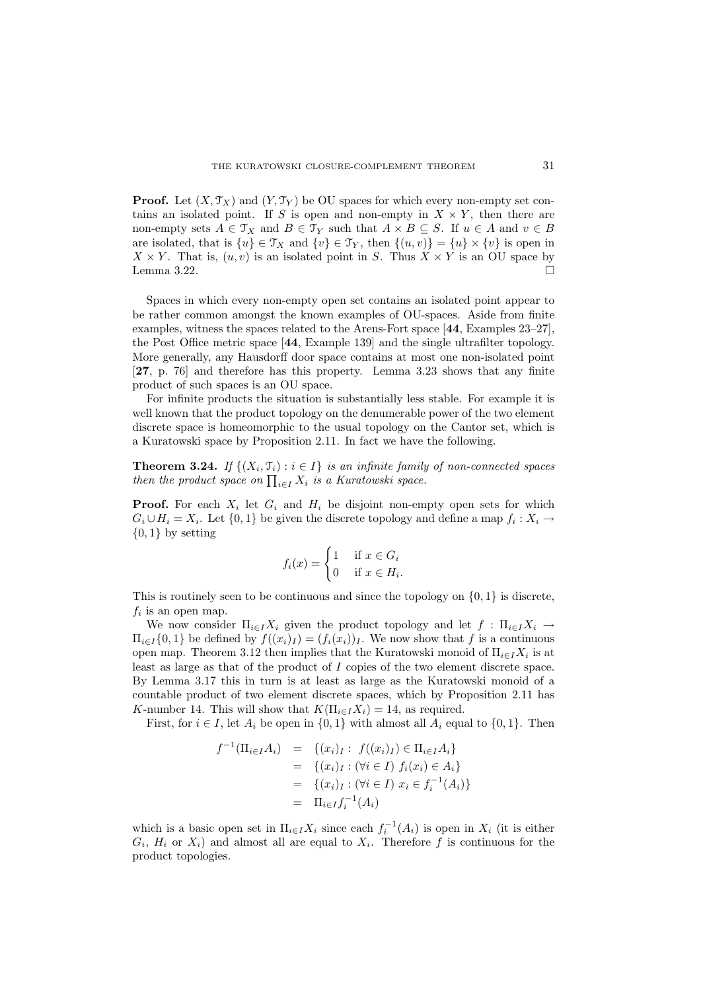**Proof.** Let  $(X, \mathcal{T}_X)$  and  $(Y, \mathcal{T}_Y)$  be OU spaces for which every non-empty set contains an isolated point. If S is open and non-empty in  $X \times Y$ , then there are non-empty sets  $A \in \mathcal{T}_X$  and  $B \in \mathcal{T}_Y$  such that  $A \times B \subseteq S$ . If  $u \in A$  and  $v \in B$ are isolated, that is  $\{u\} \in \mathcal{T}_X$  and  $\{v\} \in \mathcal{T}_Y$ , then  $\{(u, v)\} = \{u\} \times \{v\}$  is open in  $X \times Y$ . That is,  $(u, v)$  is an isolated point in S. Thus  $X \times Y$  is an OU space by Lemma 3.22.  $\Box$ 

Spaces in which every non-empty open set contains an isolated point appear to be rather common amongst the known examples of OU-spaces. Aside from finite examples, witness the spaces related to the Arens-Fort space [44, Examples 23–27], the Post Office metric space [44, Example 139] and the single ultrafilter topology. More generally, any Hausdorff door space contains at most one non-isolated point [27, p. 76] and therefore has this property. Lemma 3.23 shows that any finite product of such spaces is an OU space.

For infinite products the situation is substantially less stable. For example it is well known that the product topology on the denumerable power of the two element discrete space is homeomorphic to the usual topology on the Cantor set, which is a Kuratowski space by Proposition 2.11. In fact we have the following.

**Theorem 3.24.** If  $\{(X_i, \mathcal{T}_i) : i \in I\}$  is an infinite family of non-connected spaces then the product space on  $\prod_{i\in I} X_i$  is a Kuratowski space.

**Proof.** For each  $X_i$  let  $G_i$  and  $H_i$  be disjoint non-empty open sets for which  $G_i \cup H_i = X_i$ . Let  $\{0,1\}$  be given the discrete topology and define a map  $f_i : X_i \to$  $\{0,1\}$  by setting

$$
f_i(x) = \begin{cases} 1 & \text{if } x \in G_i \\ 0 & \text{if } x \in H_i. \end{cases}
$$

This is routinely seen to be continuous and since the topology on  $\{0, 1\}$  is discrete,  $f_i$  is an open map.

We now consider  $\Pi_{i\in I}X_i$  given the product topology and let  $f: \Pi_{i\in I}X_i \to$  $\Pi_{i\in I}\{0,1\}$  be defined by  $f((x_i)_I) = (f_i(x_i))_I$ . We now show that f is a continuous open map. Theorem 3.12 then implies that the Kuratowski monoid of  $\Pi_{i\in I}X_i$  is at least as large as that of the product of I copies of the two element discrete space. By Lemma 3.17 this in turn is at least as large as the Kuratowski monoid of a countable product of two element discrete spaces, which by Proposition 2.11 has K-number 14. This will show that  $K(\Pi_{i\in I}X_i) = 14$ , as required.

First, for  $i \in I$ , let  $A_i$  be open in  $\{0,1\}$  with almost all  $A_i$  equal to  $\{0,1\}$ . Then

$$
f^{-1}(\Pi_{i \in I} A_i) = \{(x_i)_I : f((x_i)_I) \in \Pi_{i \in I} A_i\}
$$
  
\n
$$
= \{(x_i)_I : (\forall i \in I) f_i(x_i) \in A_i\}
$$
  
\n
$$
= \{(x_i)_I : (\forall i \in I) x_i \in f_i^{-1}(A_i)\}
$$
  
\n
$$
= \Pi_{i \in I} f_i^{-1}(A_i)
$$

which is a basic open set in  $\Pi_{i\in I}X_i$  since each  $f_i^{-1}(A_i)$  is open in  $X_i$  (it is either  $G_i$ ,  $H_i$  or  $X_i$ ) and almost all are equal to  $X_i$ . Therefore f is continuous for the product topologies.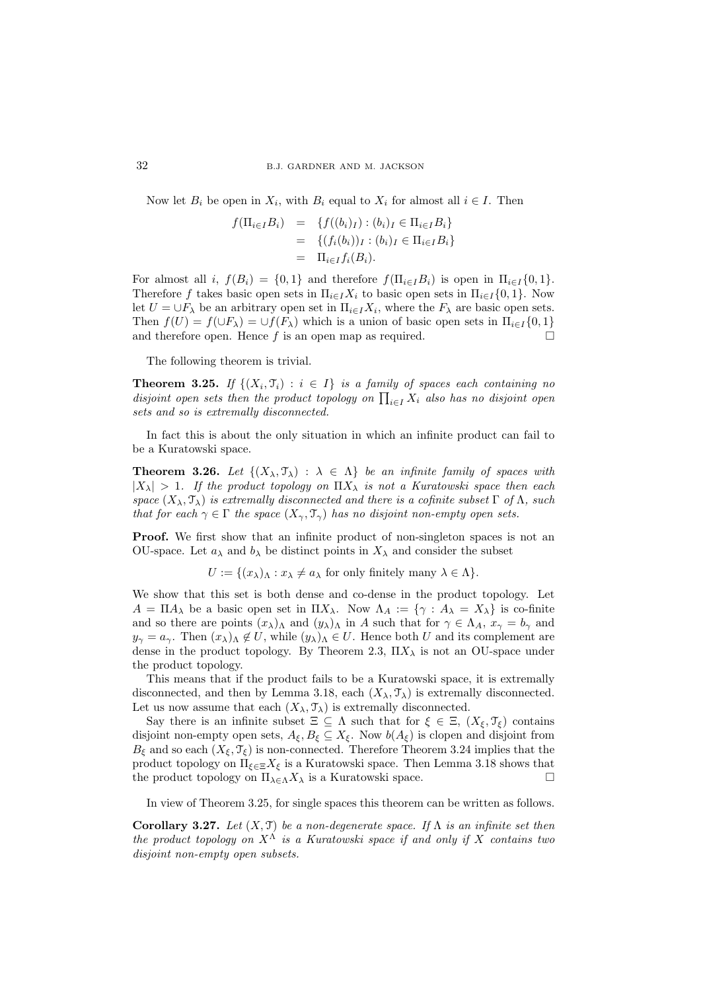Now let  $B_i$  be open in  $X_i$ , with  $B_i$  equal to  $X_i$  for almost all  $i \in I$ . Then

$$
f(\Pi_{i \in I} B_i) = \{ f((b_i)_I) : (b_i)_I \in \Pi_{i \in I} B_i \}
$$
  
= 
$$
\{ (f_i(b_i))_I : (b_i)_I \in \Pi_{i \in I} B_i \}
$$
  
= 
$$
\Pi_{i \in I} f_i(B_i).
$$

For almost all i,  $f(B_i) = \{0,1\}$  and therefore  $f(\Pi_{i\in I}B_i)$  is open in  $\Pi_{i\in I}\{0,1\}$ . Therefore f takes basic open sets in  $\Pi_{i\in I}X_i$  to basic open sets in  $\Pi_{i\in I}\{0,1\}$ . Now let  $U = \bigcup F_{\lambda}$  be an arbitrary open set in  $\Pi_{i \in I} X_i$ , where the  $F_{\lambda}$  are basic open sets. Then  $f(U) = f(\cup F_\lambda) = \cup f(F_\lambda)$  which is a union of basic open sets in  $\Pi_{i \in I} \{0, 1\}$ and therefore open. Hence f is an open map as required.  $\square$ 

The following theorem is trivial.

**Theorem 3.25.** If  $\{(X_i, \mathcal{T}_i) : i \in I\}$  is a family of spaces each containing no disjoint open sets then the product topology on  $\prod_{i\in I} X_i$  also has no disjoint open sets and so is extremally disconnected.

In fact this is about the only situation in which an infinite product can fail to be a Kuratowski space.

**Theorem 3.26.** Let  $\{(X_{\lambda}, \mathcal{T}_{\lambda}) : \lambda \in \Lambda\}$  be an infinite family of spaces with  $|X_\lambda| > 1$ . If the product topology on  $\Pi X_\lambda$  is not a Kuratowski space then each space  $(X_\lambda, \mathcal{T}_\lambda)$  is extremally disconnected and there is a cofinite subset  $\Gamma$  of  $\Lambda$ , such that for each  $\gamma \in \Gamma$  the space  $(X_{\gamma}, \mathcal{T}_{\gamma})$  has no disjoint non-empty open sets.

Proof. We first show that an infinite product of non-singleton spaces is not an OU-space. Let  $a_{\lambda}$  and  $b_{\lambda}$  be distinct points in  $X_{\lambda}$  and consider the subset

 $U := \{(x_{\lambda})_{\Lambda} : x_{\lambda} \neq a_{\lambda} \text{ for only finitely many } \lambda \in \Lambda\}.$ 

We show that this set is both dense and co-dense in the product topology. Let  $A = \Pi A_\lambda$  be a basic open set in  $\Pi X_\lambda$ . Now  $\Lambda_A := \{ \gamma : A_\lambda = X_\lambda \}$  is co-finite and so there are points  $(x_\lambda)_\Lambda$  and  $(y_\lambda)_\Lambda$  in A such that for  $\gamma \in \Lambda_A$ ,  $x_\gamma = b_\gamma$  and  $y_{\gamma} = a_{\gamma}$ . Then  $(x_{\lambda})_{\Lambda} \notin U$ , while  $(y_{\lambda})_{\Lambda} \in U$ . Hence both U and its complement are dense in the product topology. By Theorem 2.3,  $\Pi X_{\lambda}$  is not an OU-space under the product topology.

This means that if the product fails to be a Kuratowski space, it is extremally disconnected, and then by Lemma 3.18, each  $(X_\lambda, \mathcal{T}_\lambda)$  is extremally disconnected. Let us now assume that each  $(X_\lambda, \mathcal{T}_\lambda)$  is extremally disconnected.

Say there is an infinite subset  $\Xi \subseteq \Lambda$  such that for  $\xi \in \Xi$ ,  $(X_{\xi}, \mathcal{T}_{\xi})$  contains disjoint non-empty open sets,  $A_{\xi}, B_{\xi} \subseteq X_{\xi}$ . Now  $b(A_{\xi})$  is clopen and disjoint from  $B_{\xi}$  and so each  $(X_{\xi}, \mathcal{T}_{\xi})$  is non-connected. Therefore Theorem 3.24 implies that the product topology on  $\Pi_{\xi \in \Xi} X_{\xi}$  is a Kuratowski space. Then Lemma 3.18 shows that the product topology on  $\Pi_{\lambda \in \Lambda} X_{\lambda}$  is a Kuratowski space.

In view of Theorem 3.25, for single spaces this theorem can be written as follows.

Corollary 3.27. Let  $(X, \mathcal{T})$  be a non-degenerate space. If  $\Lambda$  is an infinite set then the product topology on  $X^{\Lambda}$  is a Kuratowski space if and only if X contains two disjoint non-empty open subsets.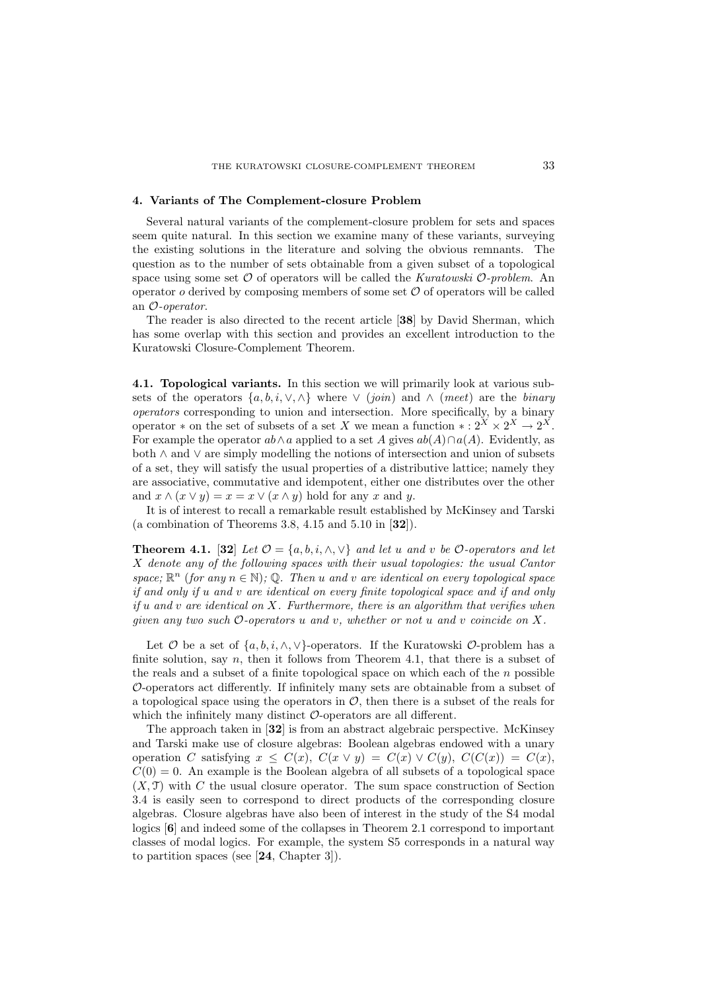### 4. Variants of The Complement-closure Problem

Several natural variants of the complement-closure problem for sets and spaces seem quite natural. In this section we examine many of these variants, surveying the existing solutions in the literature and solving the obvious remnants. The question as to the number of sets obtainable from a given subset of a topological space using some set  $\mathcal O$  of operators will be called the *Kuratowski*  $\mathcal O$ -problem. An operator  $o$  derived by composing members of some set  $\mathcal O$  of operators will be called an O-operator.

The reader is also directed to the recent article [38] by David Sherman, which has some overlap with this section and provides an excellent introduction to the Kuratowski Closure-Complement Theorem.

4.1. Topological variants. In this section we will primarily look at various subsets of the operators  $\{a, b, i, \vee, \wedge\}$  where  $\vee$  (join) and  $\wedge$  (meet) are the binary operators corresponding to union and intersection. More specifically, by a binary operator \* on the set of subsets of a set X we mean a function \*:  $2^X \times 2^X \rightarrow 2^X$ . For example the operator  $ab \wedge a$  applied to a set A gives  $ab(A) \cap a(A)$ . Evidently, as both ∧ and ∨ are simply modelling the notions of intersection and union of subsets of a set, they will satisfy the usual properties of a distributive lattice; namely they are associative, commutative and idempotent, either one distributes over the other and  $x \wedge (x \vee y) = x = x \vee (x \wedge y)$  hold for any x and y.

It is of interest to recall a remarkable result established by McKinsey and Tarski (a combination of Theorems 3.8, 4.15 and 5.10 in  $[32]$ ).

**Theorem 4.1.** [32] Let  $\mathcal{O} = \{a, b, i, \wedge, \vee\}$  and let u and v be  $\mathcal{O}$ -operators and let X denote any of the following spaces with their usual topologies: the usual Cantor space;  $\mathbb{R}^n$  (for any  $n \in \mathbb{N}$ ); Q. Then u and v are identical on every topological space if and only if u and v are identical on every finite topological space and if and only if u and v are identical on  $X$ . Furthermore, there is an algorithm that verifies when given any two such  $\mathcal{O}\text{-operators}$  u and v, whether or not u and v coincide on X.

Let  $\mathcal O$  be a set of  $\{a, b, i, \wedge, \vee\}$ -operators. If the Kuratowski  $\mathcal O$ -problem has a finite solution, say  $n$ , then it follows from Theorem 4.1, that there is a subset of the reals and a subset of a finite topological space on which each of the  $n$  possible O-operators act differently. If infinitely many sets are obtainable from a subset of a topological space using the operators in  $\mathcal{O}$ , then there is a subset of the reals for which the infinitely many distinct  $\mathcal{O}$ -operators are all different.

The approach taken in [32] is from an abstract algebraic perspective. McKinsey and Tarski make use of closure algebras: Boolean algebras endowed with a unary operation C satisfying  $x \leq C(x)$ ,  $C(x \vee y) = C(x) \vee C(y)$ ,  $C(C(x)) = C(x)$ ,  $C(0) = 0$ . An example is the Boolean algebra of all subsets of a topological space  $(X, \mathcal{T})$  with C the usual closure operator. The sum space construction of Section 3.4 is easily seen to correspond to direct products of the corresponding closure algebras. Closure algebras have also been of interest in the study of the S4 modal logics [6] and indeed some of the collapses in Theorem 2.1 correspond to important classes of modal logics. For example, the system S5 corresponds in a natural way to partition spaces (see [24, Chapter 3]).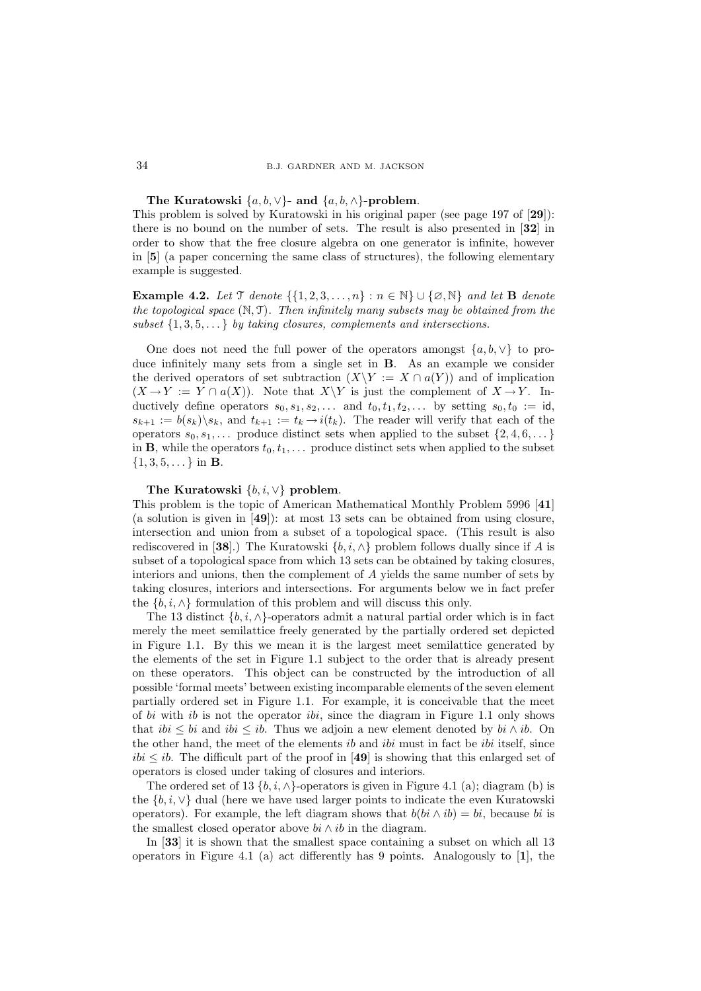The Kuratowski  $\{a, b, \vee\}$ - and  $\{a, b, \wedge\}$ -problem.

This problem is solved by Kuratowski in his original paper (see page 197 of [29]): there is no bound on the number of sets. The result is also presented in [32] in order to show that the free closure algebra on one generator is infinite, however in [5] (a paper concerning the same class of structures), the following elementary example is suggested.

Example 4.2. Let  $\mathcal T$  denote  $\{\{1, 2, 3, \ldots, n\} : n \in \mathbb N\} \cup \{\emptyset, \mathbb N\}$  and let **B** denote the topological space  $(N, \mathcal{T})$ . Then infinitely many subsets may be obtained from the subset  $\{1, 3, 5, \ldots\}$  by taking closures, complements and intersections.

One does not need the full power of the operators amongst  $\{a, b, \vee\}$  to produce infinitely many sets from a single set in B. As an example we consider the derived operators of set subtraction  $(X\Y := X \cap a(Y))$  and of implication  $(X \to Y := Y \cap a(X))$ . Note that  $X \ Y$  is just the complement of  $X \to Y$ . Inductively define operators  $s_0, s_1, s_2, \ldots$  and  $t_0, t_1, t_2, \ldots$  by setting  $s_0, t_0 := id$ ,  $s_{k+1} := b(s_k) \backslash s_k$ , and  $t_{k+1} := t_k \rightarrow i(t_k)$ . The reader will verify that each of the operators  $s_0, s_1, \ldots$  produce distinct sets when applied to the subset  $\{2, 4, 6, \ldots\}$ in **B**, while the operators  $t_0, t_1, \ldots$  produce distinct sets when applied to the subset  $\{1, 3, 5, \dots\}$  in **B**.

### The Kuratowski  $\{b, i, \vee\}$  problem.

This problem is the topic of American Mathematical Monthly Problem 5996 [41] (a solution is given in [49]): at most 13 sets can be obtained from using closure, intersection and union from a subset of a topological space. (This result is also rediscovered in [38].) The Kuratowski  $\{b, i, \wedge\}$  problem follows dually since if A is subset of a topological space from which 13 sets can be obtained by taking closures, interiors and unions, then the complement of A yields the same number of sets by taking closures, interiors and intersections. For arguments below we in fact prefer the  $\{b, i, \wedge\}$  formulation of this problem and will discuss this only.

The 13 distinct  $\{b, i, \wedge\}$ -operators admit a natural partial order which is in fact merely the meet semilattice freely generated by the partially ordered set depicted in Figure 1.1. By this we mean it is the largest meet semilattice generated by the elements of the set in Figure 1.1 subject to the order that is already present on these operators. This object can be constructed by the introduction of all possible 'formal meets' between existing incomparable elements of the seven element partially ordered set in Figure 1.1. For example, it is conceivable that the meet of bi with ib is not the operator ibi, since the diagram in Figure 1.1 only shows that ibi  $\leq bi$  and ibi  $\leq ib$ . Thus we adjoin a new element denoted by bi ∧ ib. On the other hand, the meet of the elements *ib* and *ibi* must in fact be *ibi* itself, since  $ibi \leq ib$ . The difficult part of the proof in [49] is showing that this enlarged set of operators is closed under taking of closures and interiors.

The ordered set of 13  $\{b, i, \wedge\}$ -operators is given in Figure 4.1 (a); diagram (b) is the  $\{b, i, \vee\}$  dual (here we have used larger points to indicate the even Kuratowski operators). For example, the left diagram shows that  $b(bi \wedge ib) = bi$ , because bi is the smallest closed operator above  $bi \wedge ib$  in the diagram.

In [33] it is shown that the smallest space containing a subset on which all 13 operators in Figure 4.1 (a) act differently has 9 points. Analogously to [1], the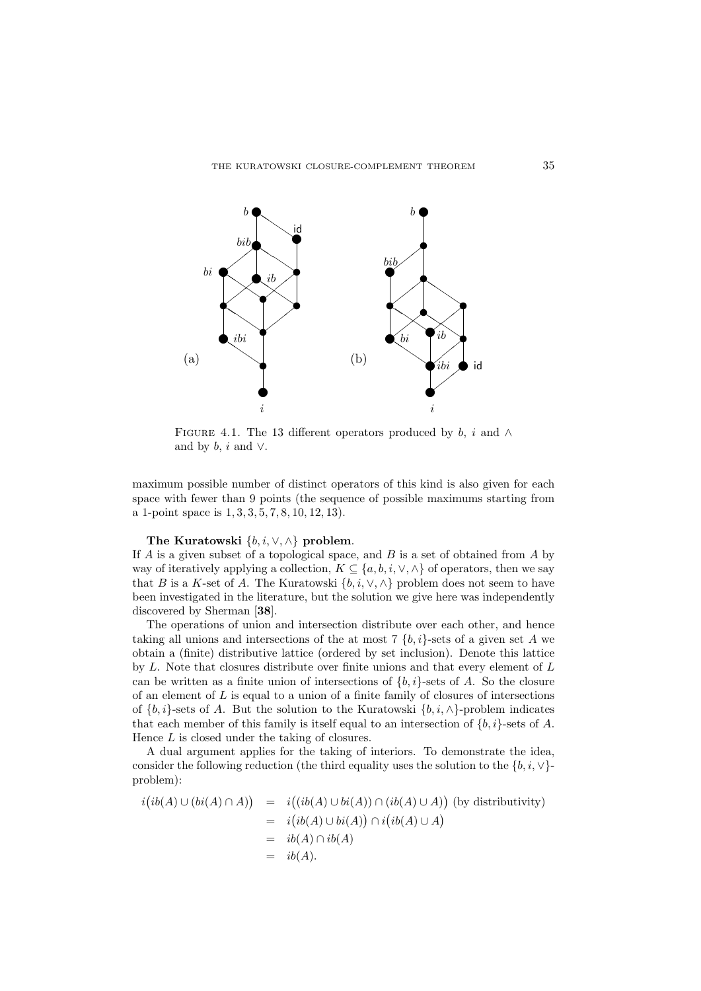

FIGURE 4.1. The 13 different operators produced by b, i and  $\wedge$ and by  $b, i$  and  $\vee$ .

maximum possible number of distinct operators of this kind is also given for each space with fewer than 9 points (the sequence of possible maximums starting from a 1-point space is 1, 3, 3, 5, 7, 8, 10, 12, 13).

### The Kuratowski  $\{b, i, \vee, \wedge\}$  problem.

If  $A$  is a given subset of a topological space, and  $B$  is a set of obtained from  $A$  by way of iteratively applying a collection,  $K \subseteq \{a, b, i, \vee, \wedge\}$  of operators, then we say that B is a K-set of A. The Kuratowski  $\{b, i, \vee, \wedge\}$  problem does not seem to have been investigated in the literature, but the solution we give here was independently discovered by Sherman [38].

The operations of union and intersection distribute over each other, and hence taking all unions and intersections of the at most 7  $\{b, i\}$ -sets of a given set A we obtain a (finite) distributive lattice (ordered by set inclusion). Denote this lattice by L. Note that closures distribute over finite unions and that every element of L can be written as a finite union of intersections of  $\{b, i\}$ -sets of A. So the closure of an element of  $L$  is equal to a union of a finite family of closures of intersections of  $\{b, i\}$ -sets of A. But the solution to the Kuratowski  $\{b, i, \wedge\}$ -problem indicates that each member of this family is itself equal to an intersection of  $\{b, i\}$ -sets of A. Hence L is closed under the taking of closures.

A dual argument applies for the taking of interiors. To demonstrate the idea, consider the following reduction (the third equality uses the solution to the  $\{b, i, \vee\}$ problem):

$$
i\big(ib(A)\cup(bi(A)\cap A)\big) = i\big((ib(A)\cup bi(A))\cap (ib(A)\cup A)\big) \text{ (by distributivity)}
$$
  
=  $i\big(ib(A)\cup bi(A)\big) \cap i\big(ib(A)\cup A\big)$   
=  $ib(A)\cap ib(A)$   
=  $ib(A).$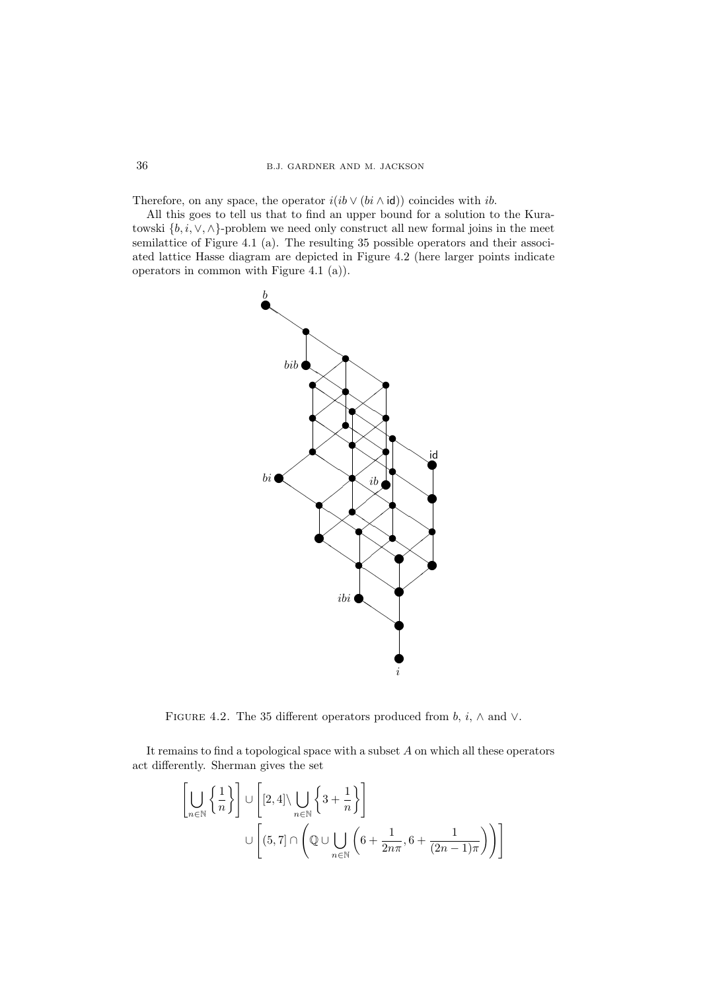Therefore, on any space, the operator  $i(ib \vee (bi \wedge id))$  coincides with ib.

All this goes to tell us that to find an upper bound for a solution to the Kuratowski  $\{b, i, \vee, \wedge\}$ -problem we need only construct all new formal joins in the meet semilattice of Figure 4.1 (a). The resulting 35 possible operators and their associated lattice Hasse diagram are depicted in Figure 4.2 (here larger points indicate operators in common with Figure 4.1 (a)).



FIGURE 4.2. The 35 different operators produced from  $b, i, \wedge$  and  $\vee$ .

It remains to find a topological space with a subset  ${\mathcal A}$  on which all these operators act differently. Sherman gives the set

$$
\left[\bigcup_{n\in\mathbb{N}}\left\{\frac{1}{n}\right\}\right] \cup \left[2,4\right] \setminus \bigcup_{n\in\mathbb{N}}\left\{3+\frac{1}{n}\right\}\right]
$$
  

$$
\cup \left[(5,7] \cap \left(\mathbb{Q} \cup \bigcup_{n\in\mathbb{N}}\left(6+\frac{1}{2n\pi},6+\frac{1}{(2n-1)\pi}\right)\right)\right]
$$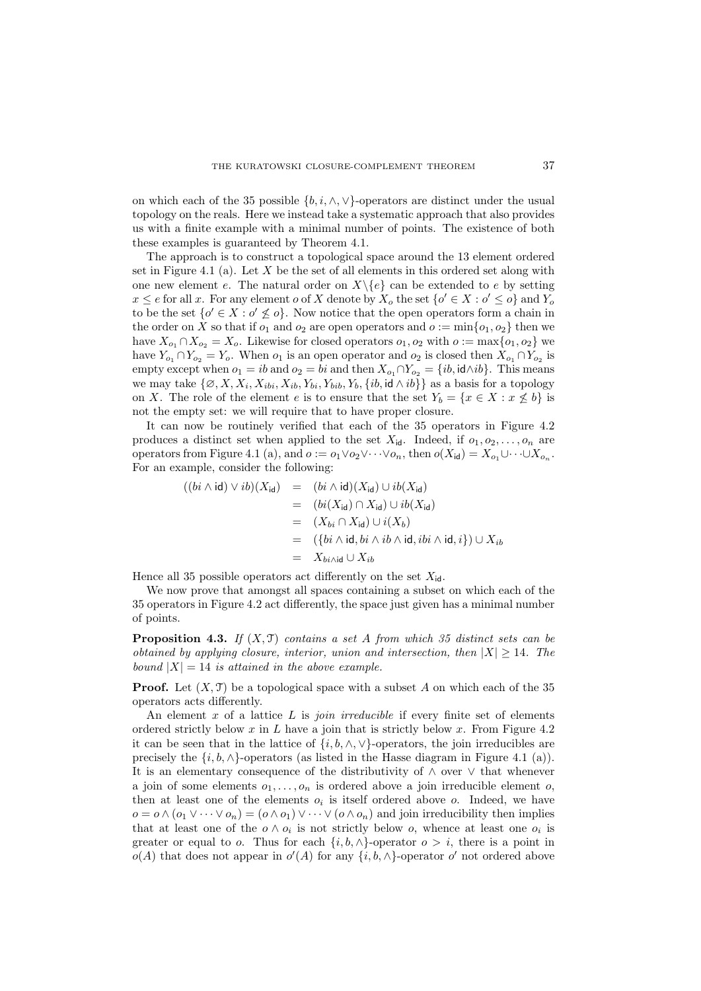on which each of the 35 possible  $\{b, i, \wedge, \vee\}$ -operators are distinct under the usual topology on the reals. Here we instead take a systematic approach that also provides us with a finite example with a minimal number of points. The existence of both these examples is guaranteed by Theorem 4.1.

The approach is to construct a topological space around the 13 element ordered set in Figure 4.1 (a). Let  $X$  be the set of all elements in this ordered set along with one new element e. The natural order on  $X\backslash\{e\}$  can be extended to e by setting  $x \le e$  for all x. For any element o of X denote by  $X_o$  the set  $\{o' \in X : o' \le o\}$  and  $Y_o$ to be the set  $\{o' \in X : o' \nleq o\}$ . Now notice that the open operators form a chain in the order on X so that if  $o_1$  and  $o_2$  are open operators and  $o := min\{o_1, o_2\}$  then we have  $X_{o_1} \cap X_{o_2} = X_o$ . Likewise for closed operators  $o_1, o_2$  with  $o := \max\{o_1, o_2\}$  we have  $Y_{o_1} \cap Y_{o_2} = Y_o$ . When  $o_1$  is an open operator and  $o_2$  is closed then  $X_{o_1} \cap Y_{o_2}$  is empty except when  $o_1 = ib$  and  $o_2 = bi$  and then  $X_{o_1} \cap Y_{o_2} = \{ib, id \wedge ib\}$ . This means we may take  $\{\emptyset, X, X_i, X_{ibi}, X_{ib}, Y_{bi}, Y_{bib}, Y_b, \{\textit{ib}, \textit{id} \wedge \textit{ib}\}\}\$ as a basis for a topology on X. The role of the element e is to ensure that the set  $Y_b = \{x \in X : x \not\leq b\}$  is not the empty set: we will require that to have proper closure.

It can now be routinely verified that each of the 35 operators in Figure 4.2 produces a distinct set when applied to the set  $X_{id}$ . Indeed, if  $o_1, o_2, \ldots, o_n$  are operators from Figure 4.1 (a), and  $o := o_1 \vee o_2 \vee \cdots \vee o_n$ , then  $o(X_{\mathsf{id}}) = X_{o_1} \cup \cdots \cup X_{o_n}$ . For an example, consider the following:

$$
((bi \wedge id) \vee ib)(X_{id}) = (bi \wedge id)(X_{id}) \cup ib(X_{id})
$$
  
= 
$$
(bi(X_{id}) \cap X_{id}) \cup ib(X_{id})
$$
  
= 
$$
(X_{bi} \cap X_{id}) \cup i(X_{b})
$$
  
= 
$$
(\{bi \wedge id, bi \wedge ib \wedge id, ibi \wedge id, i\}) \cup X_{ib}
$$
  
= 
$$
X_{bi \wedge id} \cup X_{ib}
$$

Hence all 35 possible operators act differently on the set  $X_{id}$ .

We now prove that amongst all spaces containing a subset on which each of the 35 operators in Figure 4.2 act differently, the space just given has a minimal number of points.

**Proposition 4.3.** If  $(X, \mathcal{T})$  contains a set A from which 35 distinct sets can be obtained by applying closure, interior, union and intersection, then  $|X| \geq 14$ . The bound  $|X| = 14$  is attained in the above example.

**Proof.** Let  $(X, \mathcal{T})$  be a topological space with a subset A on which each of the 35 operators acts differently.

An element x of a lattice  $L$  is *join irreducible* if every finite set of elements ordered strictly below x in L have a join that is strictly below x. From Figure 4.2 it can be seen that in the lattice of  $\{i, b, \wedge, \vee\}$ -operators, the join irreducibles are precisely the  $\{i, b, \wedge\}$ -operators (as listed in the Hasse diagram in Figure 4.1 (a)). It is an elementary consequence of the distributivity of ∧ over ∨ that whenever a join of some elements  $o_1, \ldots, o_n$  is ordered above a join irreducible element  $o$ , then at least one of the elements  $o_i$  is itself ordered above  $o$ . Indeed, we have  $o = o \wedge (o_1 \vee \cdots \vee o_n) = (o \wedge o_1) \vee \cdots \vee (o \wedge o_n)$  and join irreducibility then implies that at least one of the  $o \wedge o_i$  is not strictly below o, whence at least one  $o_i$  is greater or equal to o. Thus for each  $\{i, b, \wedge\}$ -operator  $o > i$ , there is a point in  $o(A)$  that does not appear in  $o'(A)$  for any  $\{i, b, \wedge\}$ -operator  $o'$  not ordered above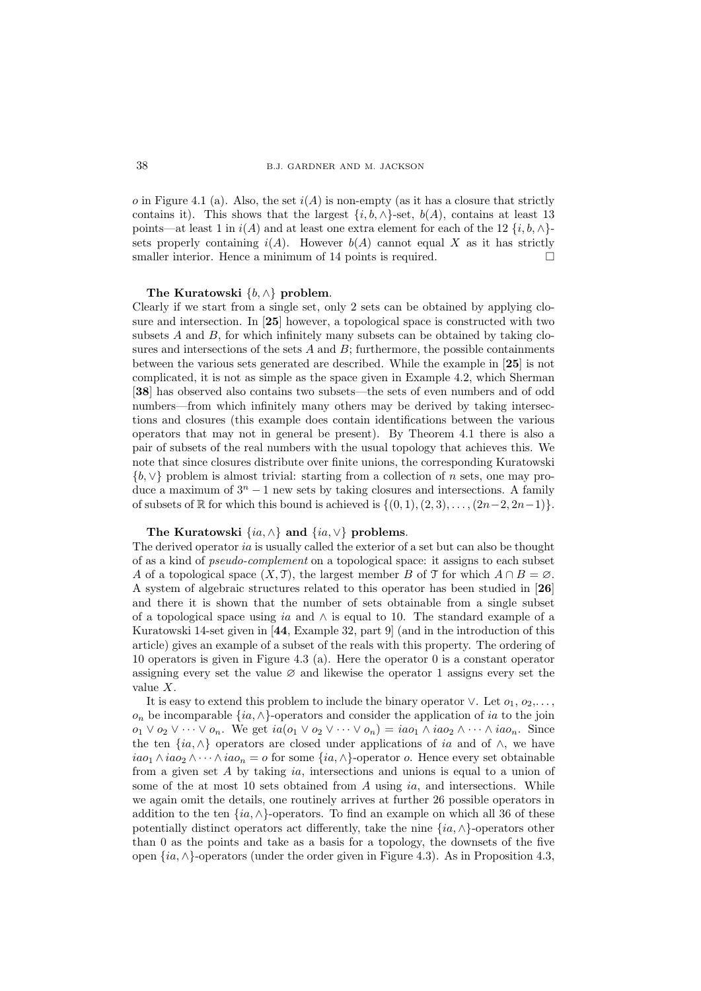o in Figure 4.1 (a). Also, the set  $i(A)$  is non-empty (as it has a closure that strictly contains it). This shows that the largest  $\{i, b, \wedge\}$ -set,  $b(A)$ , contains at least 13 points—at least 1 in  $i(A)$  and at least one extra element for each of the 12  $\{i, b, \wedge\}$ sets properly containing  $i(A)$ . However  $b(A)$  cannot equal X as it has strictly smaller interior. Hence a minimum of 14 points is required.  $\square$ 

### The Kuratowski  $\{b, \wedge\}$  problem.

Clearly if we start from a single set, only 2 sets can be obtained by applying closure and intersection. In [25] however, a topological space is constructed with two subsets  $A$  and  $B$ , for which infinitely many subsets can be obtained by taking closures and intersections of the sets  $A$  and  $B$ ; furthermore, the possible containments between the various sets generated are described. While the example in [25] is not complicated, it is not as simple as the space given in Example 4.2, which Sherman [38] has observed also contains two subsets—the sets of even numbers and of odd numbers—from which infinitely many others may be derived by taking intersections and closures (this example does contain identifications between the various operators that may not in general be present). By Theorem 4.1 there is also a pair of subsets of the real numbers with the usual topology that achieves this. We note that since closures distribute over finite unions, the corresponding Kuratowski {b, ∨} problem is almost trivial: starting from a collection of n sets, one may produce a maximum of  $3<sup>n</sup> - 1$  new sets by taking closures and intersections. A family of subsets of  $\mathbb R$  for which this bound is achieved is  $\{(0, 1), (2, 3), \ldots, (2n-2, 2n-1)\}.$ 

# The Kuratowski  $\{ia, \wedge\}$  and  $\{ia, \vee\}$  problems.

The derived operator ia is usually called the exterior of a set but can also be thought of as a kind of pseudo-complement on a topological space: it assigns to each subset A of a topological space  $(X, \mathcal{T})$ , the largest member B of  $\mathcal{T}$  for which  $A \cap B = \emptyset$ . A system of algebraic structures related to this operator has been studied in [26] and there it is shown that the number of sets obtainable from a single subset of a topological space using ia and  $\land$  is equal to 10. The standard example of a Kuratowski 14-set given in [44, Example 32, part 9] (and in the introduction of this article) gives an example of a subset of the reals with this property. The ordering of 10 operators is given in Figure 4.3 (a). Here the operator 0 is a constant operator assigning every set the value  $\varnothing$  and likewise the operator 1 assigns every set the value X.

It is easy to extend this problem to include the binary operator  $\vee$ . Let  $o_1, o_2, \ldots$ ,  $o_n$  be incomparable {*ia*, ∧}-operators and consider the application of *ia* to the join  $o_1 \vee o_2 \vee \cdots \vee o_n$ . We get  $ia(o_1 \vee o_2 \vee \cdots \vee o_n) = ia o_1 \wedge ia o_2 \wedge \cdots \wedge ia o_n$ . Since the ten  $\{ia, \wedge\}$  operators are closed under applications of ia and of  $\wedge$ , we have  $iao_1 \wedge iao_2 \wedge \cdots \wedge iao_n = o$  for some  $\{ia, \wedge\}$ -operator *o*. Hence every set obtainable from a given set  $A$  by taking ia, intersections and unions is equal to a union of some of the at most 10 sets obtained from A using ia, and intersections. While we again omit the details, one routinely arrives at further 26 possible operators in addition to the ten  $\{ia, \wedge\}$ -operators. To find an example on which all 36 of these potentially distinct operators act differently, take the nine  $\{ia, \wedge\}$ -operators other than 0 as the points and take as a basis for a topology, the downsets of the five open {ia, ∧}-operators (under the order given in Figure 4.3). As in Proposition 4.3,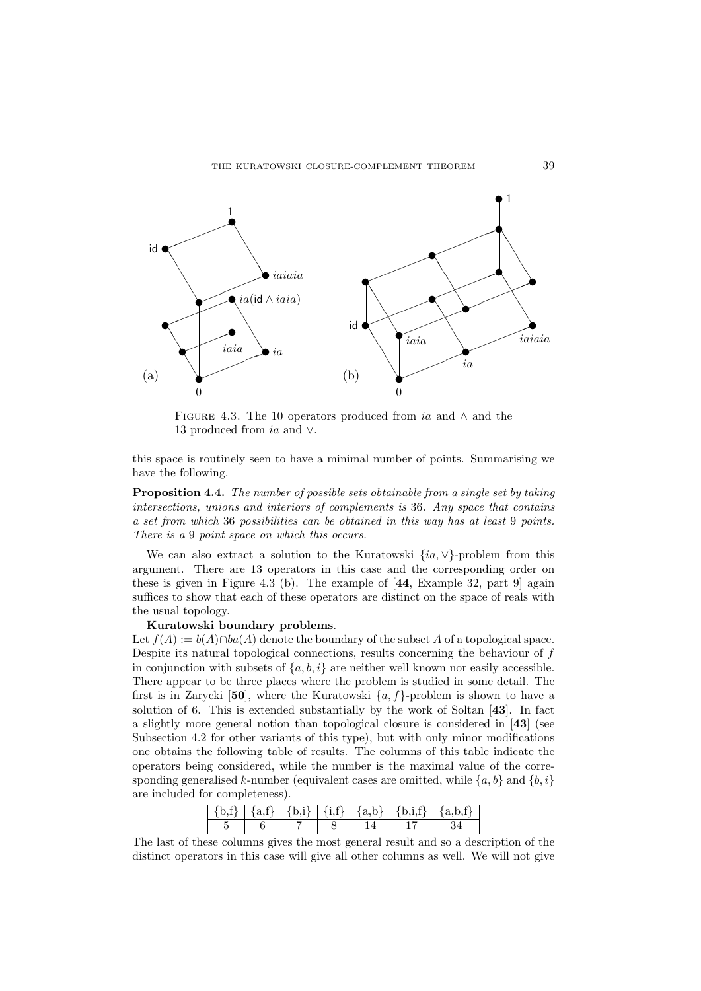

FIGURE 4.3. The 10 operators produced from ia and  $\wedge$  and the 13 produced from ia and ∨.

this space is routinely seen to have a minimal number of points. Summarising we have the following.

Proposition 4.4. The number of possible sets obtainable from a single set by taking intersections, unions and interiors of complements is 36. Any space that contains a set from which 36 possibilities can be obtained in this way has at least 9 points. There is a 9 point space on which this occurs.

We can also extract a solution to the Kuratowski  $\{ia, \vee\}$ -problem from this argument. There are 13 operators in this case and the corresponding order on these is given in Figure 4.3 (b). The example of [44, Example 32, part 9] again suffices to show that each of these operators are distinct on the space of reals with the usual topology.

### Kuratowski boundary problems.

Let  $f(A) := b(A) \cap ba(A)$  denote the boundary of the subset A of a topological space. Despite its natural topological connections, results concerning the behaviour of f in conjunction with subsets of  $\{a, b, i\}$  are neither well known nor easily accessible. There appear to be three places where the problem is studied in some detail. The first is in Zarycki [50], where the Kuratowski  $\{a, f\}$ -problem is shown to have a solution of 6. This is extended substantially by the work of Soltan [43]. In fact a slightly more general notion than topological closure is considered in [43] (see Subsection 4.2 for other variants of this type), but with only minor modifications one obtains the following table of results. The columns of this table indicate the operators being considered, while the number is the maximal value of the corresponding generalised k-number (equivalent cases are omitted, while  $\{a, b\}$  and  $\{b, i\}$ are included for completeness).

|  |  | $\{a,f\}$   $\{b,i\}$   $\{i,f\}$   $\{a,b\}$   $\{b,i,f\}$ | - פ |
|--|--|-------------------------------------------------------------|-----|
|  |  |                                                             |     |

The last of these columns gives the most general result and so a description of the distinct operators in this case will give all other columns as well. We will not give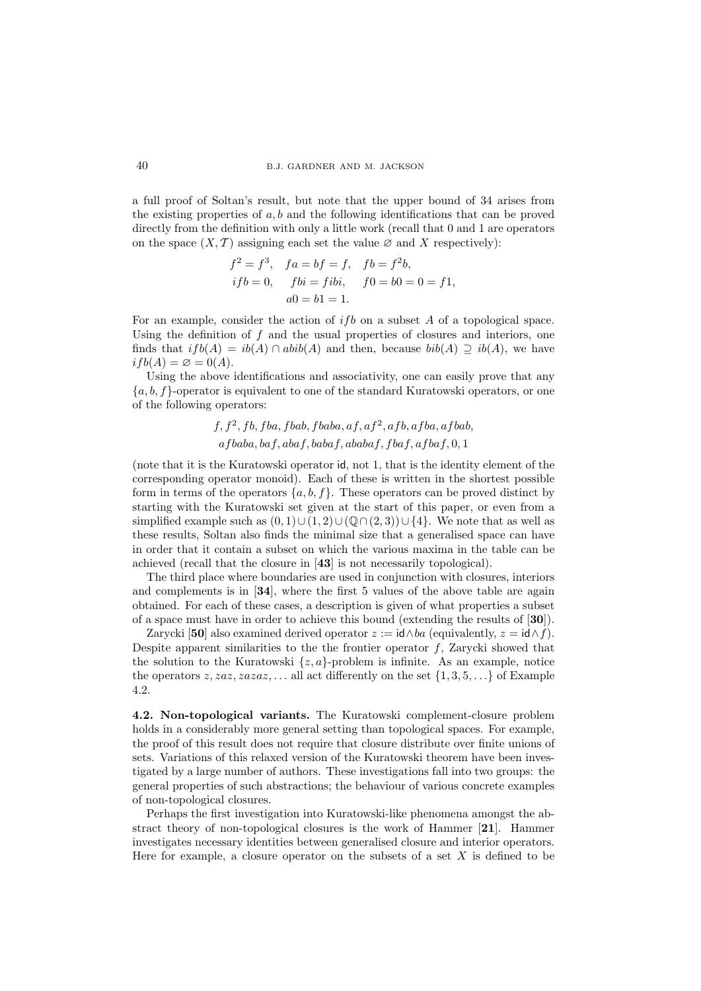### 40 B.J. GARDNER AND M. JACKSON

a full proof of Soltan's result, but note that the upper bound of 34 arises from the existing properties of  $a, b$  and the following identifications that can be proved directly from the definition with only a little work (recall that 0 and 1 are operators on the space  $(X, \mathcal{T})$  assigning each set the value  $\varnothing$  and X respectively):

$$
f^{2} = f^{3}, \quad fa = bf = f, \quad fb = f^{2}b,
$$
  
if b = 0, \quad fbi = fibi, \quad f0 = b0 = 0 = f1,  
 a0 = b1 = 1.

For an example, consider the action of  $i\,fb$  on a subset A of a topological space. Using the definition of  $f$  and the usual properties of closures and interiors, one finds that  $ifb(A) = ib(A) \cap abib(A)$  and then, because  $bib(A) \supset ib(A)$ , we have  $if b(A) = \varnothing = 0(A).$ 

Using the above identifications and associativity, one can easily prove that any  ${a, b, f}$ -operator is equivalent to one of the standard Kuratowski operators, or one of the following operators:

$$
f, f2, fb, fba, fbab, fbaba, af, af2, afb, afba, afbab, afbaba, baf, abab, ababaf, ababaf, fbaf, afbaf, 0, 1
$$

(note that it is the Kuratowski operator id, not 1, that is the identity element of the corresponding operator monoid). Each of these is written in the shortest possible form in terms of the operators  $\{a, b, f\}$ . These operators can be proved distinct by starting with the Kuratowski set given at the start of this paper, or even from a simplified example such as  $(0, 1) \cup (1, 2) \cup (\mathbb{Q} \cap (2, 3)) \cup \{4\}$ . We note that as well as these results, Soltan also finds the minimal size that a generalised space can have in order that it contain a subset on which the various maxima in the table can be achieved (recall that the closure in [43] is not necessarily topological).

The third place where boundaries are used in conjunction with closures, interiors and complements is in [34], where the first 5 values of the above table are again obtained. For each of these cases, a description is given of what properties a subset of a space must have in order to achieve this bound (extending the results of [30]).

Zarycki [50] also examined derived operator  $z := \mathsf{id} \wedge ba$  (equivalently,  $z = \mathsf{id} \wedge f$ ). Despite apparent similarities to the the frontier operator  $f$ , Zarycki showed that the solution to the Kuratowski  $\{z, a\}$ -problem is infinite. As an example, notice the operators  $z, zaz, zazaz, \ldots$  all act differently on the set  $\{1, 3, 5, \ldots\}$  of Example 4.2.

4.2. Non-topological variants. The Kuratowski complement-closure problem holds in a considerably more general setting than topological spaces. For example, the proof of this result does not require that closure distribute over finite unions of sets. Variations of this relaxed version of the Kuratowski theorem have been investigated by a large number of authors. These investigations fall into two groups: the general properties of such abstractions; the behaviour of various concrete examples of non-topological closures.

Perhaps the first investigation into Kuratowski-like phenomena amongst the abstract theory of non-topological closures is the work of Hammer [21]. Hammer investigates necessary identities between generalised closure and interior operators. Here for example, a closure operator on the subsets of a set  $X$  is defined to be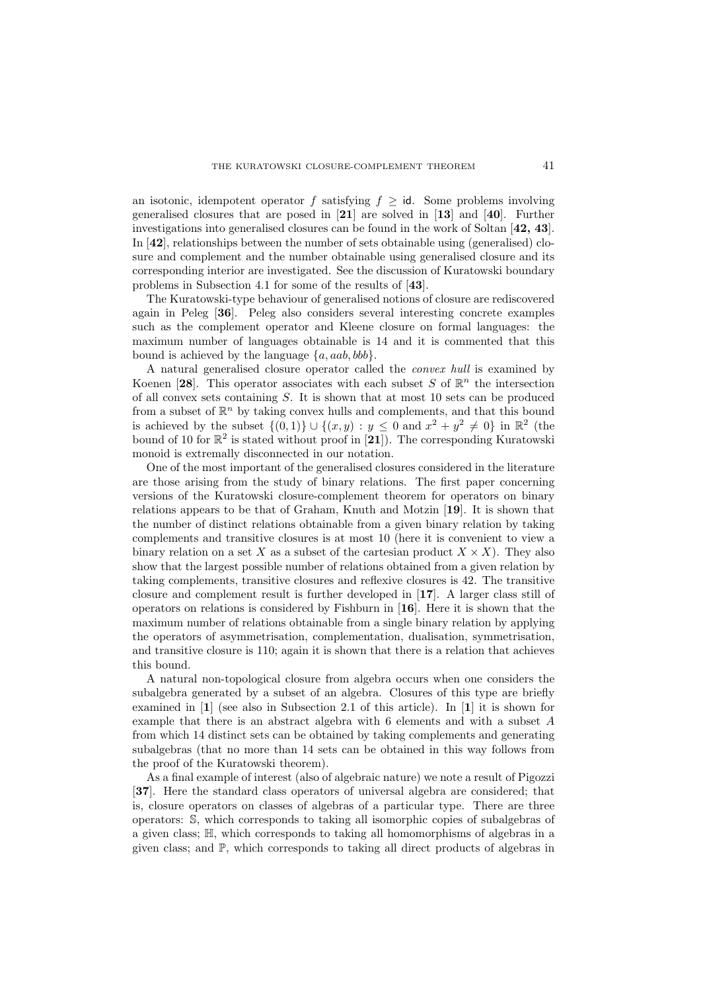an isotonic, idempotent operator f satisfying  $f > id$ . Some problems involving generalised closures that are posed in [21] are solved in [13] and [40]. Further investigations into generalised closures can be found in the work of Soltan [42, 43]. In [42], relationships between the number of sets obtainable using (generalised) closure and complement and the number obtainable using generalised closure and its corresponding interior are investigated. See the discussion of Kuratowski boundary problems in Subsection 4.1 for some of the results of [43].

The Kuratowski-type behaviour of generalised notions of closure are rediscovered again in Peleg [36]. Peleg also considers several interesting concrete examples such as the complement operator and Kleene closure on formal languages: the maximum number of languages obtainable is 14 and it is commented that this bound is achieved by the language  $\{a, aab, bbb\}$ .

A natural generalised closure operator called the convex hull is examined by Koenen [28]. This operator associates with each subset S of  $\mathbb{R}^n$  the intersection of all convex sets containing S. It is shown that at most 10 sets can be produced from a subset of  $\mathbb{R}^n$  by taking convex hulls and complements, and that this bound is achieved by the subset  $\{(0,1)\}\cup\{(x,y): y\leq 0 \text{ and } x^2+y^2\neq 0\}$  in  $\mathbb{R}^2$  (the bound of 10 for  $\mathbb{R}^2$  is stated without proof in [21]). The corresponding Kuratowski monoid is extremally disconnected in our notation.

One of the most important of the generalised closures considered in the literature are those arising from the study of binary relations. The first paper concerning versions of the Kuratowski closure-complement theorem for operators on binary relations appears to be that of Graham, Knuth and Motzin [19]. It is shown that the number of distinct relations obtainable from a given binary relation by taking complements and transitive closures is at most 10 (here it is convenient to view a binary relation on a set X as a subset of the cartesian product  $X \times X$ ). They also show that the largest possible number of relations obtained from a given relation by taking complements, transitive closures and reflexive closures is 42. The transitive closure and complement result is further developed in [17]. A larger class still of operators on relations is considered by Fishburn in [16]. Here it is shown that the maximum number of relations obtainable from a single binary relation by applying the operators of asymmetrisation, complementation, dualisation, symmetrisation, and transitive closure is 110; again it is shown that there is a relation that achieves this bound.

A natural non-topological closure from algebra occurs when one considers the subalgebra generated by a subset of an algebra. Closures of this type are briefly examined in [1] (see also in Subsection 2.1 of this article). In [1] it is shown for example that there is an abstract algebra with 6 elements and with a subset A from which 14 distinct sets can be obtained by taking complements and generating subalgebras (that no more than 14 sets can be obtained in this way follows from the proof of the Kuratowski theorem).

As a final example of interest (also of algebraic nature) we note a result of Pigozzi [37]. Here the standard class operators of universal algebra are considered; that is, closure operators on classes of algebras of a particular type. There are three operators: S, which corresponds to taking all isomorphic copies of subalgebras of a given class; H, which corresponds to taking all homomorphisms of algebras in a given class; and  $\mathbb{P}$ , which corresponds to taking all direct products of algebras in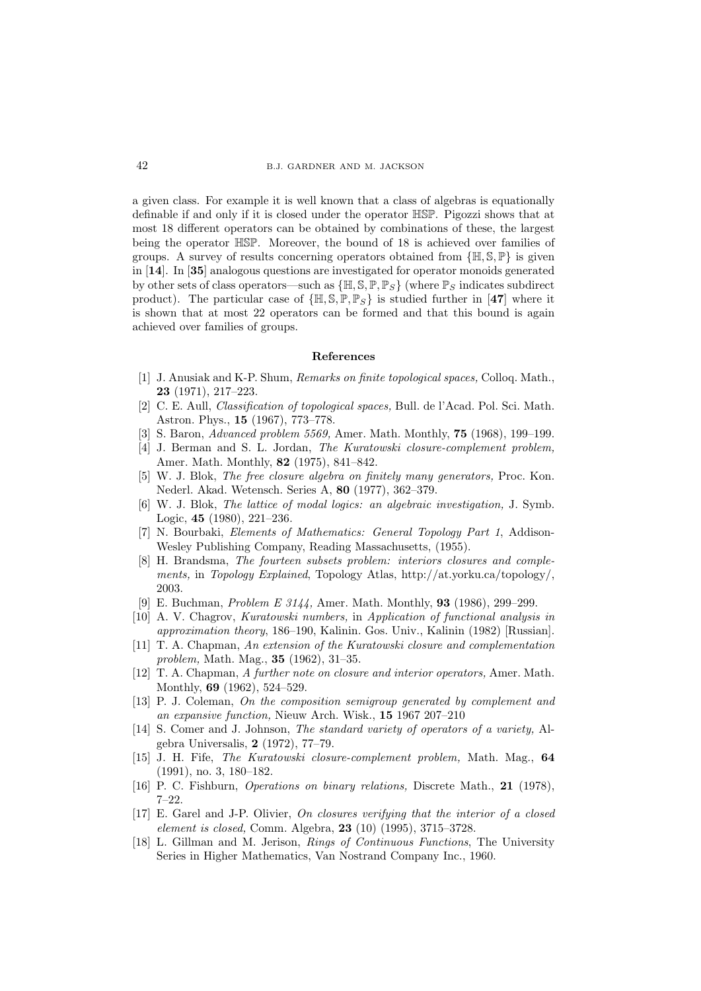a given class. For example it is well known that a class of algebras is equationally definable if and only if it is closed under the operator HSP. Pigozzi shows that at most 18 different operators can be obtained by combinations of these, the largest being the operator HSP. Moreover, the bound of 18 is achieved over families of groups. A survey of results concerning operators obtained from  $\{ \mathbb{H}, \mathbb{S}, \mathbb{P} \}$  is given in [14]. In [35] analogous questions are investigated for operator monoids generated by other sets of class operators—such as  $\{\mathbb{H}, \mathbb{S}, \mathbb{P}, \mathbb{P}_S\}$  (where  $\mathbb{P}_S$  indicates subdirect product). The particular case of  $\{\mathbb{H}, \mathbb{S}, \mathbb{P}, \mathbb{P}_S\}$  is studied further in [47] where it is shown that at most 22 operators can be formed and that this bound is again achieved over families of groups.

### References

- [1] J. Anusiak and K-P. Shum, Remarks on finite topological spaces, Colloq. Math., 23 (1971), 217–223.
- [2] C. E. Aull, Classification of topological spaces, Bull. de l'Acad. Pol. Sci. Math. Astron. Phys., 15 (1967), 773–778.
- [3] S. Baron, Advanced problem 5569, Amer. Math. Monthly, 75 (1968), 199–199.
- [4] J. Berman and S. L. Jordan, The Kuratowski closure-complement problem, Amer. Math. Monthly, 82 (1975), 841–842.
- [5] W. J. Blok, The free closure algebra on finitely many generators, Proc. Kon. Nederl. Akad. Wetensch. Series A, 80 (1977), 362–379.
- [6] W. J. Blok, The lattice of modal logics: an algebraic investigation, J. Symb. Logic, 45 (1980), 221–236.
- [7] N. Bourbaki, Elements of Mathematics: General Topology Part 1, Addison-Wesley Publishing Company, Reading Massachusetts, (1955).
- [8] H. Brandsma, The fourteen subsets problem: interiors closures and complements, in Topology Explained, Topology Atlas, http://at.yorku.ca/topology/, 2003.
- [9] E. Buchman, Problem E 3144, Amer. Math. Monthly, 93 (1986), 299–299.
- [10] A. V. Chagrov, Kuratowski numbers, in Application of functional analysis in approximation theory, 186–190, Kalinin. Gos. Univ., Kalinin (1982) [Russian].
- [11] T. A. Chapman, An extension of the Kuratowski closure and complementation problem, Math. Mag., 35 (1962), 31–35.
- [12] T. A. Chapman, A further note on closure and interior operators, Amer. Math. Monthly, 69 (1962), 524–529.
- [13] P. J. Coleman, On the composition semigroup generated by complement and an expansive function, Nieuw Arch. Wisk., 15 1967 207–210
- [14] S. Comer and J. Johnson, The standard variety of operators of a variety, Algebra Universalis, 2 (1972), 77–79.
- [15] J. H. Fife, The Kuratowski closure-complement problem, Math. Mag., 64 (1991), no. 3, 180–182.
- [16] P. C. Fishburn, Operations on binary relations, Discrete Math., 21 (1978), 7–22.
- [17] E. Garel and J-P. Olivier, On closures verifying that the interior of a closed element is closed, Comm. Algebra, 23 (10) (1995), 3715–3728.
- [18] L. Gillman and M. Jerison, Rings of Continuous Functions, The University Series in Higher Mathematics, Van Nostrand Company Inc., 1960.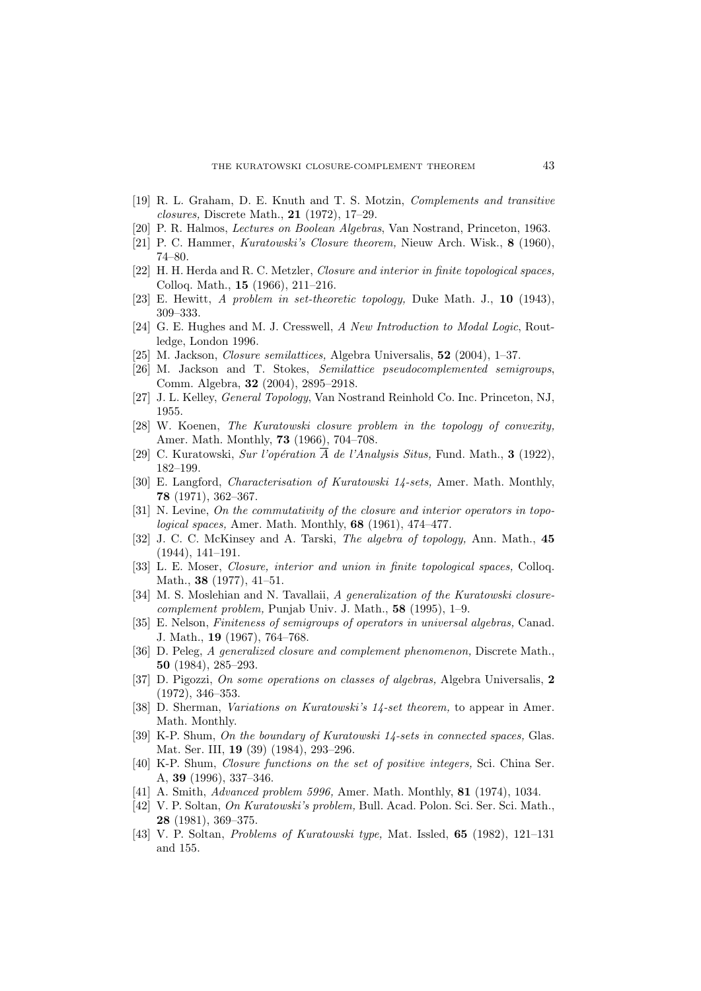- [19] R. L. Graham, D. E. Knuth and T. S. Motzin, Complements and transitive closures, Discrete Math., 21 (1972), 17–29.
- [20] P. R. Halmos, Lectures on Boolean Algebras, Van Nostrand, Princeton, 1963.
- [21] P. C. Hammer, Kuratowski's Closure theorem, Nieuw Arch. Wisk., 8 (1960), 74–80.
- [22] H. H. Herda and R. C. Metzler, *Closure and interior in finite topological spaces*, Colloq. Math., 15 (1966), 211–216.
- [23] E. Hewitt, A problem in set-theoretic topology, Duke Math. J., 10 (1943), 309–333.
- [24] G. E. Hughes and M. J. Cresswell, A New Introduction to Modal Logic, Routledge, London 1996.
- [25] M. Jackson, Closure semilattices, Algebra Universalis, 52 (2004), 1–37.
- [26] M. Jackson and T. Stokes, Semilattice pseudocomplemented semigroups, Comm. Algebra, 32 (2004), 2895–2918.
- [27] J. L. Kelley, General Topology, Van Nostrand Reinhold Co. Inc. Princeton, NJ, 1955.
- [28] W. Koenen, The Kuratowski closure problem in the topology of convexity, Amer. Math. Monthly, 73 (1966), 704–708.
- [29] C. Kuratowski, Sur l'opération  $\overline{A}$  de l'Analysis Situs, Fund. Math., **3** (1922), 182–199.
- [30] E. Langford, Characterisation of Kuratowski 14-sets, Amer. Math. Monthly, 78 (1971), 362–367.
- [31] N. Levine, On the commutativity of the closure and interior operators in topological spaces, Amer. Math. Monthly, 68 (1961), 474–477.
- [32] J. C. C. McKinsey and A. Tarski, The algebra of topology, Ann. Math., 45 (1944), 141–191.
- [33] L. E. Moser, Closure, interior and union in finite topological spaces, Colloq. Math., **38** (1977), 41–51.
- [34] M. S. Moslehian and N. Tavallaii, A generalization of the Kuratowski closurecomplement problem, Punjab Univ. J. Math., 58 (1995), 1–9.
- [35] E. Nelson, Finiteness of semigroups of operators in universal algebras, Canad. J. Math., 19 (1967), 764–768.
- [36] D. Peleg, A generalized closure and complement phenomenon, Discrete Math., 50 (1984), 285–293.
- [37] D. Pigozzi, On some operations on classes of algebras, Algebra Universalis, 2 (1972), 346–353.
- [38] D. Sherman, Variations on Kuratowski's 14-set theorem, to appear in Amer. Math. Monthly.
- [39] K-P. Shum, On the boundary of Kuratowski 14-sets in connected spaces, Glas. Mat. Ser. III, 19 (39) (1984), 293–296.
- [40] K-P. Shum, Closure functions on the set of positive integers, Sci. China Ser. A, 39 (1996), 337–346.
- [41] A. Smith, *Advanced problem 5996*, Amer. Math. Monthly, **81** (1974), 1034.
- [42] V. P. Soltan, On Kuratowski's problem, Bull. Acad. Polon. Sci. Ser. Sci. Math., 28 (1981), 369–375.
- [43] V. P. Soltan, Problems of Kuratowski type, Mat. Issled, 65 (1982), 121–131 and 155.